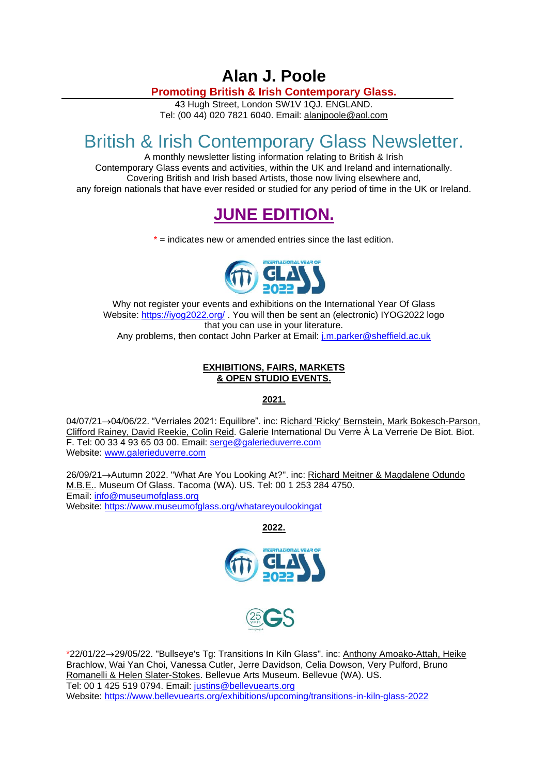## **Alan J. Poole**

**Promoting British & Irish Contemporary Glass.**

43 Hugh Street, London SW1V 1QJ. ENGLAND. Tel: (00 44) 020 7821 6040. Email: [alanjpoole@aol.com](mailto:alanjpoole@aol.com)

# British & Irish Contemporary Glass Newsletter.

A monthly newsletter listing information relating to British & Irish Contemporary Glass events and activities, within the UK and Ireland and internationally. Covering British and Irish based Artists, those now living elsewhere and, any foreign nationals that have ever resided or studied for any period of time in the UK or Ireland.

## **JUNE EDITION.**

 $*$  = indicates new or amended entries since the last edition.



Why not register your events and exhibitions on the International Year Of Glass Website:<https://iyog2022.org/> . You will then be sent an (electronic) IYOG2022 logo that you can use in your literature. Any problems, then contact John Parker at Email: [j.m.parker@sheffield.ac.uk](mailto:j.m.parker@sheffield.ac.uk)

## **EXHIBITIONS, FAIRS, MARKETS & OPEN STUDIO EVENTS.**

**2021.**

04/07/21→04/06/22. "Verriales 2021: Equilibre". inc: Richard 'Ricky' Bernstein, Mark Bokesch-Parson, Clifford Rainey, David Reekie, Colin Reid. Galerie International Du Verre À La Verrerie De Biot. Biot. F. Tel: 00 33 4 93 65 03 00. Email: [serge@galerieduverre.com](mailto:serge@galerieduverre.com) Website: [www.galerieduverre.com](http://www.galerieduverre.com/)

26/09/21→Autumn 2022. "What Are You Looking At?". inc: Richard Meitner & Magdalene Odundo M.B.E.. Museum Of Glass. Tacoma (WA). US. Tel: 00 1 253 284 4750. Email: [info@museumofglass.org](mailto:info@museumofglass.org) Website:<https://www.museumofglass.org/whatareyoulookingat>

**2022.**





\*22/01/22→29/05/22. "Bullseye's Tg: Transitions In Kiln Glass". inc: Anthony Amoako-Attah, Heike Brachlow, Wai Yan Choi, Vanessa Cutler, Jerre Davidson, Celia Dowson, Very Pulford, Bruno Romanelli & Helen Slater-Stokes. Bellevue Arts Museum. Bellevue (WA). US. Tel: 00 1 425 519 0794. Email: [justins@bellevuearts.org](mailto:justins@bellevuearts.org) Website:<https://www.bellevuearts.org/exhibitions/upcoming/transitions-in-kiln-glass-2022>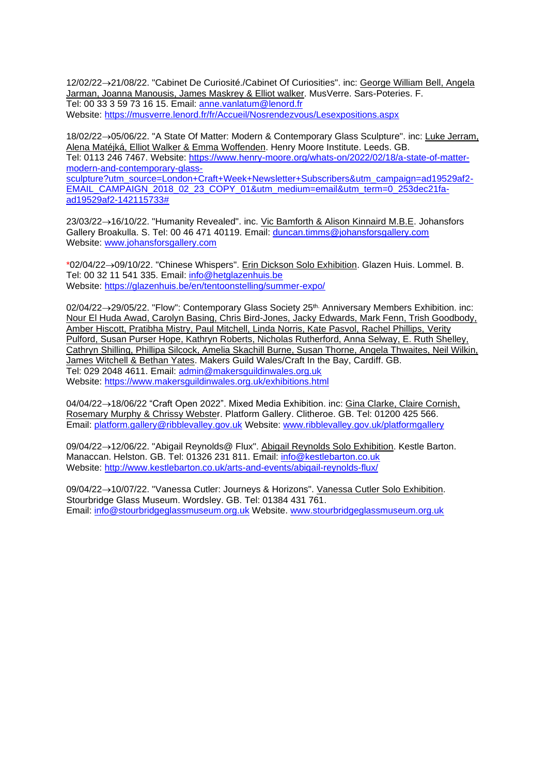12/02/22→21/08/22. "Cabinet De Curiosité./Cabinet Of Curiosities". inc: George William Bell, Angela Jarman, Joanna Manousis, James Maskrey & Elliot walker. MusVerre. Sars-Poteries. F. Tel: 00 33 3 59 73 16 15. Email: [anne.vanlatum@lenord.fr](mailto:anne.vanlatum@lenord.fr) Website:<https://musverre.lenord.fr/fr/Accueil/Nosrendezvous/Lesexpositions.aspx>

18/02/22→05/06/22. "A State Of Matter: Modern & Contemporary Glass Sculpture". inc: Luke Jerram, Alena Matéjká, Elliot Walker & Emma Woffenden. Henry Moore Institute. Leeds. GB. Tel: 0113 246 7467. Website: [https://www.henry-moore.org/whats-on/2022/02/18/a-state-of-matter](https://www.henry-moore.org/whats-on/2022/02/18/a-state-of-matter-modern-and-contemporary-glass-sculpture?utm_source=London+Craft+Week+Newsletter+Subscribers&utm_campaign=ad19529af2-EMAIL_CAMPAIGN_2018_02_23_COPY_01&utm_medium=email&utm_term=0_253dec21fa-ad19529af2-142115733)[modern-and-contemporary-glass](https://www.henry-moore.org/whats-on/2022/02/18/a-state-of-matter-modern-and-contemporary-glass-sculpture?utm_source=London+Craft+Week+Newsletter+Subscribers&utm_campaign=ad19529af2-EMAIL_CAMPAIGN_2018_02_23_COPY_01&utm_medium=email&utm_term=0_253dec21fa-ad19529af2-142115733)[sculpture?utm\\_source=London+Craft+Week+Newsletter+Subscribers&utm\\_campaign=ad19529af2-](https://www.henry-moore.org/whats-on/2022/02/18/a-state-of-matter-modern-and-contemporary-glass-sculpture?utm_source=London+Craft+Week+Newsletter+Subscribers&utm_campaign=ad19529af2-EMAIL_CAMPAIGN_2018_02_23_COPY_01&utm_medium=email&utm_term=0_253dec21fa-ad19529af2-142115733) [EMAIL\\_CAMPAIGN\\_2018\\_02\\_23\\_COPY\\_01&utm\\_medium=email&utm\\_term=0\\_253dec21fa](https://www.henry-moore.org/whats-on/2022/02/18/a-state-of-matter-modern-and-contemporary-glass-sculpture?utm_source=London+Craft+Week+Newsletter+Subscribers&utm_campaign=ad19529af2-EMAIL_CAMPAIGN_2018_02_23_COPY_01&utm_medium=email&utm_term=0_253dec21fa-ad19529af2-142115733)[ad19529af2-142115733#](https://www.henry-moore.org/whats-on/2022/02/18/a-state-of-matter-modern-and-contemporary-glass-sculpture?utm_source=London+Craft+Week+Newsletter+Subscribers&utm_campaign=ad19529af2-EMAIL_CAMPAIGN_2018_02_23_COPY_01&utm_medium=email&utm_term=0_253dec21fa-ad19529af2-142115733)

23/03/22→16/10/22. "Humanity Revealed". inc. Vic Bamforth & Alison Kinnaird M.B.E. Johansfors Gallery Broakulla. S. Tel: 00 46 471 40119. Email: [duncan.timms@johansforsgallery.com](mailto:duncan.timms@johansforsgallery.com) Website: [www.johansforsgallery.com](http://www.johansforsgallery.com/)

\*02/04/22→09/10/22. "Chinese Whispers". Erin Dickson Solo Exhibition. Glazen Huis. Lommel. B. Tel: 00 32 11 541 335. Email: [info@hetglazenhuis.be](mailto:info@hetglazenhuis.be) Website:<https://glazenhuis.be/en/tentoonstelling/summer-expo/>

02/04/22→29/05/22. "Flow": Contemporary Glass Society 25th. Anniversary Members Exhibition. inc: Nour El Huda Awad, Carolyn Basing, Chris Bird-Jones, Jacky Edwards, Mark Fenn, Trish Goodbody, Amber Hiscott, Pratibha Mistry, Paul Mitchell, Linda Norris, Kate Pasvol, Rachel Phillips, Verity Pulford, Susan Purser Hope, Kathryn Roberts, Nicholas Rutherford, Anna Selway, E. Ruth Shelley, Cathryn Shilling, Phillipa Silcock, Amelia Skachill Burne, Susan Thorne, Angela Thwaites, Neil Wilkin, James Witchell & Bethan Yates. Makers Guild Wales/Craft In the Bay, Cardiff. GB. Tel: 029 2048 4611. Email: [admin@makersguildinwales.org.uk](mailto:admin@makersguildinwales.org.uk) Website:<https://www.makersguildinwales.org.uk/exhibitions.html>

04/04/22→18/06/22 "Craft Open 2022". Mixed Media Exhibition. inc: Gina Clarke, Claire Cornish, Rosemary Murphy & Chrissy Webster. Platform Gallery. Clitheroe. GB. Tel: 01200 425 566. Email: [platform.gallery@ribblevalley.gov.uk](mailto:platform.gallery@ribblevalley.gov.uk) Website: [www.ribblevalley.gov.uk/platformgallery](http://www.ribblevalley.gov.uk/platformgallery)

09/04/22→12/06/22. "Abigail Reynolds@ Flux". Abigail Reynolds Solo Exhibition. Kestle Barton. Manaccan. Helston. GB. Tel: 01326 231 811. Email: [info@kestlebarton.co.uk](mailto:info@kestlebarton.co.uk) Website:<http://www.kestlebarton.co.uk/arts-and-events/abigail-reynolds-flux/>

09/04/22→10/07/22. "Vanessa Cutler: Journeys & Horizons". Vanessa Cutler Solo Exhibition. Stourbridge Glass Museum. Wordsley. GB. Tel: 01384 431 761. Email: [info@stourbridgeglassmuseum.org.uk](mailto:info@stourbridgeglassmuseum.org.uk) Website. [www.stourbridgeglassmuseum.org.uk](http://www.stourbridgeglassmuseum.org.uk/)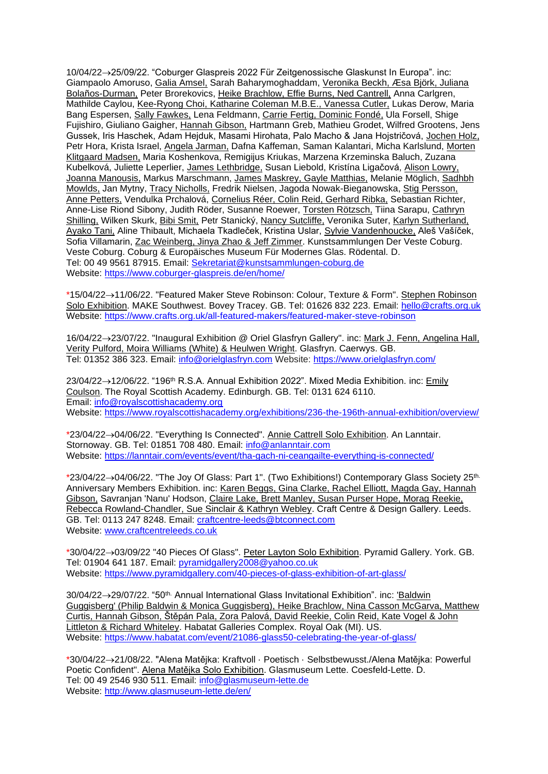10/04/22→25/09/22. "Coburger Glaspreis 2022 Für Zeitgenossische Glaskunst In Europa". inc: Giampaolo Amoruso, Galia Amsel, Sarah Baharymoghaddam, Veronika Beckh, Æsa Björk, Juliana Bolaños-Durman, Peter Brorekovics, Heike Brachlow, Effie Burns, Ned Cantrell, Anna Carlgren, Mathilde Caylou, Kee-Ryong Choi, Katharine Coleman M.B.E., Vanessa Cutler, Lukas Derow, Maria Bang Espersen, Sally Fawkes, Lena Feldmann, Carrie Fertig, Dominic Fondé, Ula Forsell, Shige Fujishiro, Giuliano Gaigher, Hannah Gibson, Hartmann Greb, Mathieu Grodet, Wilfred Grootens, Jens Gussek, Iris Haschek, Adam Hejduk, Masami Hirohata, Palo Macho & Jana Hojstričová, Jochen Holz, Petr Hora, Krista Israel, Angela Jarman, Dafna Kaffeman, Saman Kalantari, Micha Karlslund, Morten Klitgaard Madsen, Maria Koshenkova, Remigijus Kriukas, Marzena Krzeminska Baluch, Zuzana Kubelková, Juliette Leperlier, James Lethbridge, Susan Liebold, Kristína Ligačová, Alison Lowry, Joanna Manousis, Markus Marschmann, James Maskrey, Gayle Matthias, Melanie Möglich, Sadhbh Mowlds, Jan Mytny, Tracy Nicholls, Fredrik Nielsen, Jagoda Nowak-Bieganowska, Stig Persson, Anne Petters, Vendulka Prchalová, Cornelius Réer, Colin Reid, Gerhard Ribka, Sebastian Richter, Anne-Lise Riond Sibony, Judith Röder, Susanne Roewer, Torsten Rötzsch, Tiina Sarapu, Cathryn Shilling, Wilken Skurk, Bibi Smit, Petr Stanický, Nancy Sutcliffe, Veronika Suter, Karlyn Sutherland, Ayako Tani, Aline Thibault, Michaela Tkadleček, Kristina Uslar, Sylvie Vandenhoucke, Aleš Vašíček, Sofia Villamarin, Zac Weinberg, Jinya Zhao & Jeff Zimmer. Kunstsammlungen Der Veste Coburg. Veste Coburg. Coburg & Europäisches Museum Für Modernes Glas. Rödental. D. Tel: 00 49 9561 87915. Email: [Sekretariat@kunstsammlungen-coburg.de](mailto:Sekretariat@kunstsammlungen-coburg.de) Website:<https://www.coburger-glaspreis.de/en/home/>

\*15/04/22→11/06/22. "Featured Maker Steve Robinson: Colour, Texture & Form". Stephen Robinson Solo Exhibition. MAKE Southwest. Bovey Tracey. GB. Tel: 01626 832 223. Email: [hello@crafts.org.uk](mailto:hello@crafts.org.uk) Website:<https://www.crafts.org.uk/all-featured-makers/featured-maker-steve-robinson>

16/04/22→23/07/22. "Inaugural Exhibition @ Oriel Glasfryn Gallery". inc: Mark J. Fenn, Angelina Hall, Verity Pulford, Moira Williams (White) & Heulwen Wright. Glasfryn. Caerwys. GB. Tel: 01352 386 323. Email: [info@orielglasfryn.com](mailto:info@orielglasfryn.com) Website:<https://www.orielglasfryn.com/>

23/04/22→12/06/22. "196th R.S.A. Annual Exhibition 2022". Mixed Media Exhibition. inc: Emily Coulson. The Royal Scottish Academy. Edinburgh. GB. Tel: 0131 624 6110. Email: [info@royalscottishacademy.org](mailto:info@royalscottishacademy.org) Website:<https://www.royalscottishacademy.org/exhibitions/236-the-196th-annual-exhibition/overview/>

\*23/04/22→04/06/22. "Everything Is Connected". Annie Cattrell Solo Exhibition. An Lanntair. Stornoway. GB. Tel: 01851 708 480. Email: [info@anlanntair.com](mailto:info@anlanntair.com) Website:<https://lanntair.com/events/event/tha-gach-ni-ceangailte-everything-is-connected/>

\*23/04/22→04/06/22. "The Joy Of Glass: Part 1". (Two Exhibitions!) Contemporary Glass Society 25th. Anniversary Members Exhibition. inc: Karen Beggs, Gina Clarke, Rachel Elliott, Magda Gay, Hannah Gibson, Savranjan 'Nanu' Hodson, Claire Lake, Brett Manley, Susan Purser Hope, Morag Reekie, Rebecca Rowland-Chandler, Sue Sinclair & Kathryn Webley. Craft Centre & Design Gallery. Leeds. GB. Tel: 0113 247 8248. Email: [craftcentre-leeds@btconnect.com](mailto:craftcentre-leeds@btconnect.com) Website: [www.craftcentreleeds.co.uk](http://www.craftcentreleeds.co.uk/)

\*30/04/22→03/09/22 "40 Pieces Of Glass". Peter Layton Solo Exhibition. Pyramid Gallery. York. GB. Tel: 01904 641 187. Email: [pyramidgallery2008@yahoo.co.uk](mailto:pyramidgallery2008@yahoo.co.uk) Website:<https://www.pyramidgallery.com/40-pieces-of-glass-exhibition-of-art-glass/>

30/04/22→29/07/22. "50th. Annual International Glass Invitational Exhibition". inc: 'Baldwin Guggisberg' (Philip Baldwin & Monica Guggisberg), Heike Brachlow, Nina Casson McGarva, Matthew Curtis, Hannah Gibson, Štěpán Pala, Zora Palová, David Reekie, Colin Reid, Kate Vogel & John Littleton & Richard Whiteley. Habatat Galleries Complex. Royal Oak (MI). US. Website:<https://www.habatat.com/event/21086-glass50-celebrating-the-year-of-glass/>

\*30/04/22→21/08/22. "Alena Matějka: Kraftvoll · Poetisch · Selbstbewusst./Alena Matějka: Powerful Poetic Confident". Alena Matějka Solo Exhibition. Glasmuseum Lette. Coesfeld-Lette. D. Tel: 00 49 2546 930 511. Email: [info@glasmuseum-lette.de](mailto:info@glasmuseum-lette.de) Website:<http://www.glasmuseum-lette.de/en/>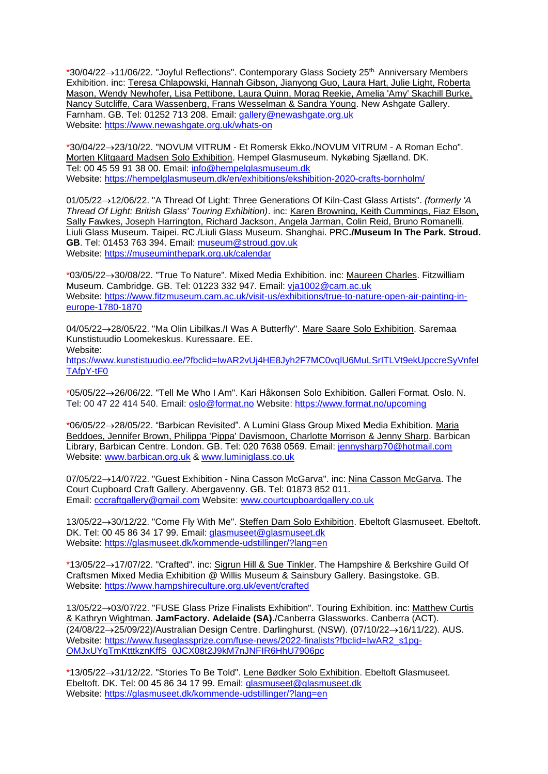\*30/04/22→11/06/22. "Joyful Reflections". Contemporary Glass Society 25th. Anniversary Members Exhibition. inc: Teresa Chlapowski, Hannah Gibson, Jianyong Guo, Laura Hart, Julie Light, Roberta Mason, Wendy Newhofer, Lisa Pettibone, Laura Quinn, Morag Reekie, Amelia 'Amy' Skachill Burke, Nancy Sutcliffe, Cara Wassenberg, Frans Wesselman & Sandra Young. New Ashgate Gallery. Farnham. GB. Tel: 01252 713 208. Email: [gallery@newashgate.org.uk](mailto:gallery@newashgate.org.uk) Website:<https://www.newashgate.org.uk/whats-on>

\*30/04/22→23/10/22. "NOVUM VITRUM - Et Romersk Ekko./NOVUM VITRUM - A Roman Echo". Morten Klitgaard Madsen Solo Exhibition. Hempel Glasmuseum. Nykøbing Sjælland. DK. Tel: 00 45 59 91 38 00. Email: [info@hempelglasmuseum.dk](mailto:info@hempelglasmuseum.dk) Website:<https://hempelglasmuseum.dk/en/exhibitions/ekshibition-2020-crafts-bornholm/>

01/05/22→12/06/22. "A Thread Of Light: Three Generations Of Kiln-Cast Glass Artists". *(formerly 'A Thread Of Light: British Glass' Touring Exhibition)*. inc: Karen Browning, Keith Cummings, Fiaz Elson, Sally Fawkes, Joseph Harrington, Richard Jackson, Angela Jarman, Colin Reid, Bruno Romanelli. Liuli Glass Museum. Taipei. RC./Liuli Glass Museum. Shanghai. PRC**./Museum In The Park. Stroud. GB**. Tel: 01453 763 394. Email: [museum@stroud.gov.uk](mailto:museum@stroud.gov.uk) Website:<https://museuminthepark.org.uk/calendar>

\*03/05/22→30/08/22. "True To Nature". Mixed Media Exhibition. inc: Maureen Charles. Fitzwilliam Museum. Cambridge. GB. Tel: 01223 332 947. Email: [vja1002@cam.ac.uk](mailto:vja1002@cam.ac.uk) Website: [https://www.fitzmuseum.cam.ac.uk/visit-us/exhibitions/true-to-nature-open-air-painting-in](https://www.fitzmuseum.cam.ac.uk/visit-us/exhibitions/true-to-nature-open-air-painting-in-europe-1780-1870)[europe-1780-1870](https://www.fitzmuseum.cam.ac.uk/visit-us/exhibitions/true-to-nature-open-air-painting-in-europe-1780-1870)

04/05/22→28/05/22. "Ma Olin Libilkas./I Was A Butterfly". Mare Saare Solo Exhibition. Saremaa Kunstistuudio Loomekeskus. Kuressaare. EE. Website:

[https://www.kunstistuudio.ee/?fbclid=IwAR2vUj4HE8Jyh2F7MC0vqlU6MuLSrITLVt9ekUpccreSyVnfeI](https://www.kunstistuudio.ee/?fbclid=IwAR2vUj4HE8Jyh2F7MC0vqlU6MuLSrITLVt9ekUpccreSyVnfeITAfpY-tF0) [TAfpY-tF0](https://www.kunstistuudio.ee/?fbclid=IwAR2vUj4HE8Jyh2F7MC0vqlU6MuLSrITLVt9ekUpccreSyVnfeITAfpY-tF0)

\*05/05/22→26/06/22. "Tell Me Who I Am". Kari Håkonsen Solo Exhibition. Galleri Format. Oslo. N. Tel: 00 47 22 414 540. Email: [oslo@format.no](mailto:oslo@format.no) Website:<https://www.format.no/upcoming>

\*06/05/22→28/05/22. "Barbican Revisited". A Lumini Glass Group Mixed Media Exhibition. Maria Beddoes, Jennifer Brown, Philippa 'Pippa' Davismoon, Charlotte Morrison & Jenny Sharp. Barbican Library, Barbican Centre. London. GB. Tel: 020 7638 0569. Email: [jennysharp70@hotmail.com](mailto:jennysharp70@hotmail.com) Website: [www.barbican.org.uk](http://www.barbican.org.uk/) & [www.luminiglass.co.uk](http://www.luminiglass.co.uk/)

07/05/22→14/07/22. "Guest Exhibition - Nina Casson McGarva". inc: Nina Casson McGarva. The Court Cupboard Craft Gallery. Abergavenny. GB. Tel: 01873 852 011. Email: [cccraftgallery@gmail.com](mailto:cccraftgallery@gmail.com) Website: [www.courtcupboardgallery.co.uk](http://www.courtcupboardgallery.co.uk/)

13/05/22→30/12/22. "Come Fly With Me". Steffen Dam Solo Exhibition. Ebeltoft Glasmuseet. Ebeltoft. DK. Tel: 00 45 86 34 17 99. Email: [glasmuseet@glasmuseet.dk](mailto:glasmuseet@glasmuseet.dk) Website:<https://glasmuseet.dk/kommende-udstillinger/?lang=en>

\*13/05/22→17/07/22. "Crafted". inc: Sigrun Hill & Sue Tinkler. The Hampshire & Berkshire Guild Of Craftsmen Mixed Media Exhibition @ Willis Museum & Sainsbury Gallery. Basingstoke. GB. Website:<https://www.hampshireculture.org.uk/event/crafted>

13/05/22→03/07/22. "FUSE Glass Prize Finalists Exhibition". Touring Exhibition. inc: Matthew Curtis & Kathryn Wightman. **JamFactory. Adelaide (SA)**./Canberra Glassworks. Canberra (ACT). (24/08/22→25/09/22)/Australian Design Centre. Darlinghurst. (NSW). (07/10/22→16/11/22). AUS. Website: [https://www.fuseglassprize.com/fuse-news/2022-finalists?fbclid=IwAR2\\_s1pg-](https://www.fuseglassprize.com/fuse-news/2022-finalists?fbclid=IwAR2_s1pg-OMJxUYqTmKtttkznKffS_0JCX08t2J9kM7nJNFIR6HhU7906pc)[OMJxUYqTmKtttkznKffS\\_0JCX08t2J9kM7nJNFIR6HhU7906pc](https://www.fuseglassprize.com/fuse-news/2022-finalists?fbclid=IwAR2_s1pg-OMJxUYqTmKtttkznKffS_0JCX08t2J9kM7nJNFIR6HhU7906pc)

\*13/05/22→31/12/22. "Stories To Be Told". Lene Bødker Solo Exhibition. Ebeltoft Glasmuseet. Ebeltoft. DK. Tel: 00 45 86 34 17 99. Email: [glasmuseet@glasmuseet.dk](mailto:glasmuseet@glasmuseet.dk) Website:<https://glasmuseet.dk/kommende-udstillinger/?lang=en>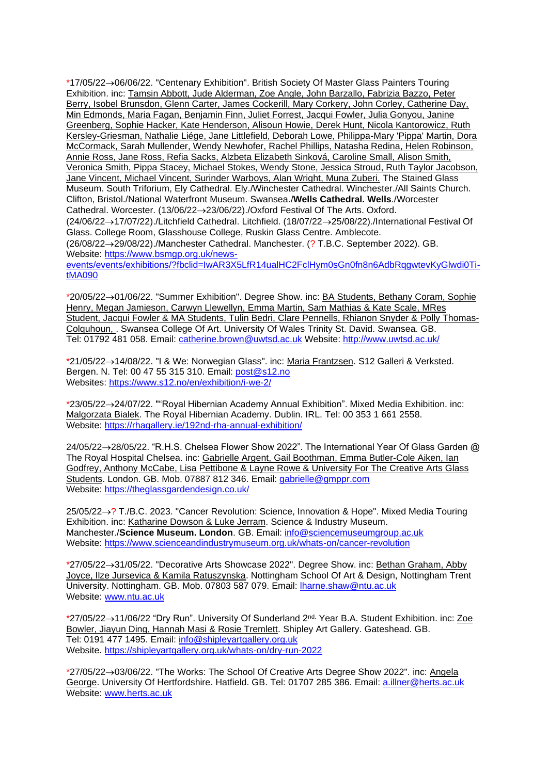\*17/05/22→06/06/22. "Centenary Exhibition". British Society Of Master Glass Painters Touring Exhibition. inc: Tamsin Abbott, Jude Alderman, Zoe Angle, John Barzallo, Fabrizia Bazzo, Peter Berry, Isobel Brunsdon, Glenn Carter, James Cockerill, Mary Corkery, John Corley, Catherine Day, Min Edmonds, Maria Fagan, Benjamin Finn, Juliet Forrest, Jacqui Fowler, Julia Gonyou, Janine Greenberg, Sophie Hacker, Kate Henderson, Alisoun Howie, Derek Hunt, Nicola Kantorowicz, Ruth Kersley-Griesman, Nathalie Liége, Jane Littlefield, Deborah Lowe, Philippa-Mary 'Pippa' Martin, Dora McCormack, Sarah Mullender, Wendy Newhofer, Rachel Phillips, Natasha Redina, Helen Robinson, Annie Ross, Jane Ross, Refia Sacks, Alzbeta Elizabeth Sinková, Caroline Small, Alison Smith, Veronica Smith, Pippa Stacey, Michael Stokes, Wendy Stone, Jessica Stroud, Ruth Taylor Jacobson, Jane Vincent, Michael Vincent, Surinder Warboys, Alan Wright, Muna Zuberi. The Stained Glass Museum. South Triforium, Ely Cathedral. Ely./Winchester Cathedral. Winchester./All Saints Church. Clifton, Bristol./National Waterfront Museum. Swansea./**Wells Cathedral. Wells**./Worcester Cathedral. Worcester. (13/06/22→23/06/22)./Oxford Festival Of The Arts. Oxford. (24/06/22→17/07/22)./Litchfield Cathedral. Litchfield. (18/07/22→25/08/22)./International Festival Of Glass. College Room, Glasshouse College, Ruskin Glass Centre. Amblecote. (26/08/22→29/08/22)./Manchester Cathedral. Manchester. (? T.B.C. September 2022). GB. Website: [https://www.bsmgp.org.uk/news](https://www.bsmgp.org.uk/news-events/events/exhibitions/?fbclid=IwAR3X5LfR14ualHC2FclHym0sGn0fn8n6AdbRqgwtevKyGlwdi0Ti-tMA090)[events/events/exhibitions/?fbclid=IwAR3X5LfR14ualHC2FclHym0sGn0fn8n6AdbRqgwtevKyGlwdi0Ti](https://www.bsmgp.org.uk/news-events/events/exhibitions/?fbclid=IwAR3X5LfR14ualHC2FclHym0sGn0fn8n6AdbRqgwtevKyGlwdi0Ti-tMA090)[tMA090](https://www.bsmgp.org.uk/news-events/events/exhibitions/?fbclid=IwAR3X5LfR14ualHC2FclHym0sGn0fn8n6AdbRqgwtevKyGlwdi0Ti-tMA090)

\*20/05/22→01/06/22. "Summer Exhibition". Degree Show. inc: BA Students, Bethany Coram, Sophie Henry, Megan Jamieson, Carwyn Llewellyn, Emma Martin, Sam Mathias & Kate Scale, MRes Student, Jacqui Fowler & MA Students, Tulin Bedri, Clare Pennells, Rhianon Snyder & Polly Thomas-Colquhoun, . Swansea College Of Art. University Of Wales Trinity St. David. Swansea. GB. Tel: 01792 481 058. Email: [catherine.brown@uwtsd.ac.uk](mailto:catherine.brown@uwtsd.ac.uk) Website:<http://www.uwtsd.ac.uk/>

\*21/05/22→14/08/22. "I & We: Norwegian Glass". inc: Maria Frantzsen. S12 Galleri & Verksted. Bergen. N. Tel: 00 47 55 315 310. Email: [post@s12.no](mailto:post@s12.no) Websites:<https://www.s12.no/en/exhibition/i-we-2/>

\*23/05/22→24/07/22. ""Royal Hibernian Academy Annual Exhibition". Mixed Media Exhibition. inc: Malgorzata Bialek. The Royal Hibernian Academy. Dublin. IRL. Tel: 00 353 1 661 2558. Website:<https://rhagallery.ie/192nd-rha-annual-exhibition/>

24/05/22→28/05/22. "R.H.S. Chelsea Flower Show 2022". The International Year Of Glass Garden @ The Royal Hospital Chelsea. inc: Gabrielle Argent, Gail Boothman, Emma Butler-Cole Aiken, Ian Godfrey, Anthony McCabe, Lisa Pettibone & Layne Rowe & University For The Creative Arts Glass Students. London. GB. Mob. 07887 812 346. Email: [gabrielle@gmppr.com](mailto:gabrielle@gmppr.com) Website:<https://theglassgardendesign.co.uk/>

25/05/22→? T./B.C. 2023. "Cancer Revolution: Science, Innovation & Hope". Mixed Media Touring Exhibition. inc: Katharine Dowson & Luke Jerram. Science & Industry Museum. Manchester./**Science Museum. London**. GB. Email: [info@sciencemuseumgroup.ac.uk](mailto:info@sciencemuseumgroup.ac.uk) Website:<https://www.scienceandindustrymuseum.org.uk/whats-on/cancer-revolution>

\*27/05/22→31/05/22. "Decorative Arts Showcase 2022". Degree Show. inc: Bethan Graham, Abby Joyce, Ilze Jursevica & Kamila Ratuszynska. Nottingham School Of Art & Design, Nottingham Trent University. Nottingham. GB. Mob. 07803 587 079. Email: [lharne.shaw@ntu.ac.uk](mailto:lharne.shaw@ntu.ac.uk) Website: [www.ntu.ac.uk](http://www.ntu.ac.uk/)

\*27/05/22→11/06/22 "Dry Run". University Of Sunderland 2nd. Year B.A. Student Exhibition. inc: Zoe Bowler, Jiayun Ding, Hannah Masi & Rosie Tremlett. Shipley Art Gallery. Gateshead. GB. Tel: 0191 477 1495. Email: [info@shipleyartgallery.org.uk](mailto:info@shipleyartgallery.org.uk) Website.<https://shipleyartgallery.org.uk/whats-on/dry-run-2022>

\*27/05/22→03/06/22. "The Works: The School Of Creative Arts Degree Show 2022". inc: Angela George. University Of Hertfordshire. Hatfield. GB. Tel: 01707 285 386. Email: [a.illner@herts.ac.uk](mailto:a.illner@herts.ac.uk) Website: [www.herts.ac.uk](http://www.herts.ac.uk/)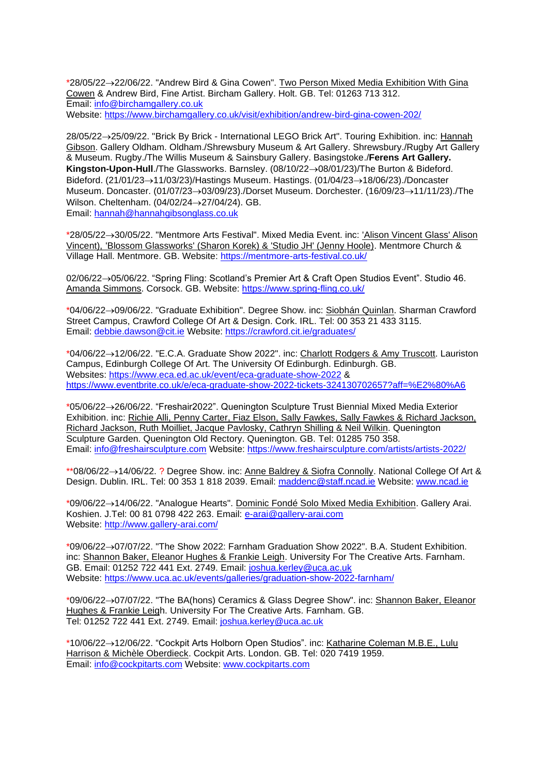\*28/05/22→22/06/22. "Andrew Bird & Gina Cowen". Two Person Mixed Media Exhibition With Gina Cowen & Andrew Bird, Fine Artist. Bircham Gallery. Holt. GB. Tel: 01263 713 312. Email: [info@birchamgallery.co.uk](mailto:info@birchamgallery.co.uk) Website:<https://www.birchamgallery.co.uk/visit/exhibition/andrew-bird-gina-cowen-202/>

28/05/22→25/09/22. "Brick By Brick - International LEGO Brick Art". Touring Exhibition. inc: Hannah Gibson. Gallery Oldham. Oldham./Shrewsbury Museum & Art Gallery. Shrewsbury./Rugby Art Gallery & Museum. Rugby./The Willis Museum & Sainsbury Gallery. Basingstoke./**Ferens Art Gallery. Kingston-Upon-Hull**./The Glassworks. Barnsley. (08/10/22→08/01/23)/The Burton & Bideford. Bideford. (21/01/23→11/03/23)/Hastings Museum. Hastings. (01/04/23→18/06/23)./Doncaster Museum. Doncaster. (01/07/23→03/09/23)./Dorset Museum. Dorchester. (16/09/23→11/11/23)./The Wilson. Cheltenham. (04/02/24→27/04/24). GB. Email: [hannah@hannahgibsonglass.co.uk](mailto:hannah@hannahgibsonglass.co.uk)

\*28/05/22→30/05/22. "Mentmore Arts Festival". Mixed Media Event. inc: 'Alison Vincent Glass' Alison Vincent), 'Blossom Glassworks' (Sharon Korek) & 'Studio JH' (Jenny Hoole). Mentmore Church & Village Hall. Mentmore. GB. Website:<https://mentmore-arts-festival.co.uk/>

02/06/22→05/06/22. "Spring Fling: Scotland's Premier Art & Craft Open Studios Event". Studio 46. Amanda Simmons. Corsock. GB. Website:<https://www.spring-fling.co.uk/>

\*04/06/22→09/06/22. "Graduate Exhibition". Degree Show. inc: Siobhán Quinlan. Sharman Crawford Street Campus, Crawford College Of Art & Design. Cork. IRL. Tel: 00 353 21 433 3115. Email: [debbie.dawson@cit.ie](mailto:debbie.dawson@cit.ie) Website:<https://crawford.cit.ie/graduates/>

\*04/06/22→12/06/22. "E.C.A. Graduate Show 2022". inc: Charlott Rodgers & Amy Truscott. Lauriston Campus, Edinburgh College Of Art. The University Of Edinburgh. Edinburgh. GB. Websites:<https://www.eca.ed.ac.uk/event/eca-graduate-show-2022> & <https://www.eventbrite.co.uk/e/eca-graduate-show-2022-tickets-324130702657?aff=%E2%80%A6>

\*05/06/22→26/06/22. "Freshair2022". Quenington Sculpture Trust Biennial Mixed Media Exterior Exhibition. inc: Richie Alli, Penny Carter, Fiaz Elson, Sally Fawkes, Sally Fawkes & Richard Jackson, Richard Jackson, Ruth Moilliet, Jacque Pavlosky, Cathryn Shilling & Neil Wilkin. Quenington Sculpture Garden. Quenington Old Rectory. Quenington. GB. Tel: 01285 750 358. Email: [info@freshairsculpture.com](mailto:info@freshairsculpture.com) Website:<https://www.freshairsculpture.com/artists/artists-2022/>

\*\*08/06/22→14/06/22. ? Degree Show. inc: Anne Baldrey & Siofra Connolly. National College Of Art & Design. Dublin. IRL. Tel: 00 353 1 818 2039. Email: [maddenc@staff.ncad.ie](mailto:maddenc@staff.ncad.ie) Website: [www.ncad.ie](http://www.ncad.ie/)

\*09/06/22→14/06/22. "Analogue Hearts". Dominic Fondé Solo Mixed Media Exhibition. Gallery Arai. Koshien. J.Tel: 00 81 0798 422 263. Email: [e-arai@gallery-arai.com](mailto:e-arai@gallery-arai.com) Website:<http://www.gallery-arai.com/>

\*09/06/22→07/07/22. "The Show 2022: Farnham Graduation Show 2022". B.A. Student Exhibition. inc: Shannon Baker, Eleanor Hughes & Frankie Leigh. University For The Creative Arts. Farnham. GB. Email: 01252 722 441 Ext. 2749. Email: [joshua.kerley@uca.ac.uk](mailto:joshua.kerley@uca.ac.uk) Website:<https://www.uca.ac.uk/events/galleries/graduation-show-2022-farnham/>

\*09/06/22→07/07/22. "The BA(hons) Ceramics & Glass Degree Show". inc: Shannon Baker, Eleanor Hughes & Frankie Leigh. University For The Creative Arts. Farnham. GB. Tel: 01252 722 441 Ext. 2749. Email: [joshua.kerley@uca.ac.uk](mailto:joshua.kerley@uca.ac.uk)

\*10/06/22→12/06/22. "Cockpit Arts Holborn Open Studios". inc: Katharine Coleman M.B.E., Lulu Harrison & Michèle Oberdieck. Cockpit Arts. London. GB. Tel: 020 7419 1959. Email: [info@cockpitarts.com](mailto:info@cockpitarts.com) Website: [www.cockpitarts.com](http://www.cockpitarts.com/)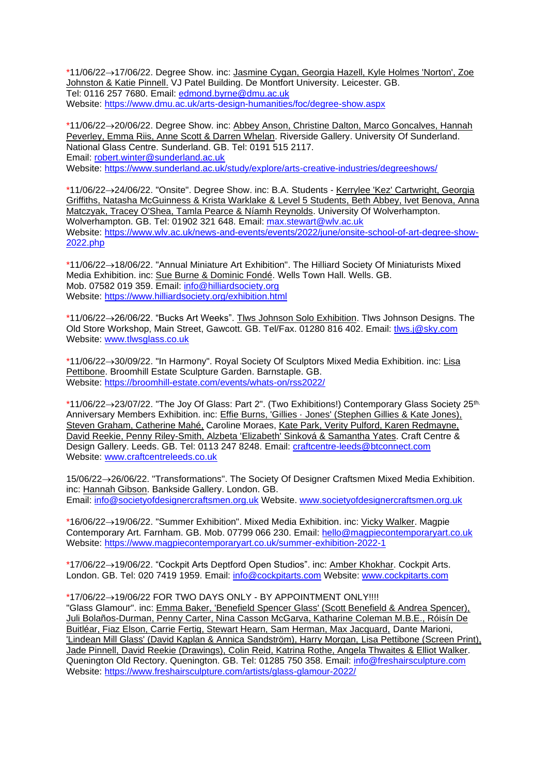\*11/06/22→17/06/22. Degree Show. inc: Jasmine Cygan, Georgia Hazell, Kyle Holmes 'Norton', Zoe Johnston & Katie Pinnell. VJ Patel Building. De Montfort University. Leicester. GB. Tel: 0116 257 7680. Email: [edmond.byrne@dmu.ac.uk](mailto:edmond.byrne@dmu.ac.uk) Website:<https://www.dmu.ac.uk/arts-design-humanities/foc/degree-show.aspx>

\*11/06/22→20/06/22. Degree Show. inc: Abbey Anson, Christine Dalton, Marco Goncalves, Hannah Peverley, Emma Riis, Anne Scott & Darren Whelan. Riverside Gallery. University Of Sunderland. National Glass Centre. Sunderland. GB. Tel: 0191 515 2117. Email: [robert.winter@sunderland.ac.uk](mailto:robert.winter@sunderland.ac.uk) Website:<https://www.sunderland.ac.uk/study/explore/arts-creative-industries/degreeshows/>

\*11/06/22→24/06/22. "Onsite". Degree Show. inc: B.A. Students - Kerrylee 'Kez' Cartwright, Georgia Griffiths, Natasha McGuinness & Krista Warklake & Level 5 Students, Beth Abbey, Ivet Benova, Anna Matczyak, Tracey O'Shea, Tamla Pearce & Níamh Reynolds. University Of Wolverhampton. Wolverhampton. GB. Tel: 01902 321 648. Email: [max.stewart@wlv.ac.uk](mailto:max.stewart@wlv.ac.uk) Website: [https://www.wlv.ac.uk/news-and-events/events/2022/june/onsite-school-of-art-degree-show-](https://www.wlv.ac.uk/news-and-events/events/2022/june/onsite-school-of-art-degree-show-2022.php)[2022.php](https://www.wlv.ac.uk/news-and-events/events/2022/june/onsite-school-of-art-degree-show-2022.php)

\*11/06/22→18/06/22. "Annual Miniature Art Exhibition". The Hilliard Society Of Miniaturists Mixed Media Exhibition. inc: Sue Burne & Dominic Fondé. Wells Town Hall. Wells. GB. Mob. 07582 019 359. Email: [info@hilliardsociety.org](mailto:info@hilliardsociety.org) Website:<https://www.hilliardsociety.org/exhibition.html>

\*11/06/22→26/06/22. "Bucks Art Weeks". Tlws Johnson Solo Exhibition. Tlws Johnson Designs. The Old Store Workshop, Main Street, Gawcott. GB. Tel/Fax. 01280 816 402. Email: [tlws.j@sky.com](mailto:tlws.j@sky.com) Website: [www.tlwsglass.co.uk](http://www.tlwsglass.co.uk/)

\*11/06/22→30/09/22. "In Harmony". Royal Society Of Sculptors Mixed Media Exhibition. inc: Lisa Pettibone. Broomhill Estate Sculpture Garden. Barnstaple. GB. Website:<https://broomhill-estate.com/events/whats-on/rss2022/>

\*11/06/22→23/07/22. "The Joy Of Glass: Part 2". (Two Exhibitions!) Contemporary Glass Society 25th. Anniversary Members Exhibition. inc: Effie Burns, 'Gillies · Jones' (Stephen Gillies & Kate Jones), Steven Graham, Catherine Mahé, Caroline Moraes, Kate Park, Verity Pulford, Karen Redmayne, David Reekie, Penny Riley-Smith, Alzbeta 'Elizabeth' Sinková & Samantha Yates. Craft Centre & Design Gallery. Leeds. GB. Tel: 0113 247 8248. Email: [craftcentre-leeds@btconnect.com](mailto:craftcentre-leeds@btconnect.com) Website: [www.craftcentreleeds.co.uk](http://www.craftcentreleeds.co.uk/)

15/06/22→26/06/22. "Transformations". The Society Of Designer Craftsmen Mixed Media Exhibition. inc: Hannah Gibson. Bankside Gallery. London. GB. Email: [info@societyofdesignercraftsmen.org.uk](mailto:info@societyofdesignercraftsmen.org.uk) Website. [www.societyofdesignercraftsmen.org.uk](http://www.societyofdesignercraftsmen.org.uk/)

\*16/06/22→19/06/22. "Summer Exhibition". Mixed Media Exhibition. inc: Vicky Walker. Magpie Contemporary Art. Farnham. GB. Mob. 07799 066 230. Email: [hello@magpiecontemporaryart.co.uk](mailto:hello@magpiecontemporaryart.co.uk) Website:<https://www.magpiecontemporaryart.co.uk/summer-exhibition-2022-1>

\*17/06/22→19/06/22. "Cockpit Arts Deptford Open Studios". inc: Amber Khokhar. Cockpit Arts. London. GB. Tel: 020 7419 1959. Email: [info@cockpitarts.com](mailto:info@cockpitarts.com) Website: [www.cockpitarts.com](http://www.cockpitarts.com/)

\*17/06/22→19/06/22 FOR TWO DAYS ONLY - BY APPOINTMENT ONLY!!!!

"Glass Glamour". inc: Emma Baker, 'Benefield Spencer Glass' (Scott Benefield & Andrea Spencer), Juli Bolaños-Durman, Penny Carter, Nina Casson McGarva, Katharine Coleman M.B.E., Róisín De Buitléar, Fiaz Elson, Carrie Fertig, Stewart Hearn, Sam Herman, Max Jacquard, Dante Marioni, 'Lindean Mill Glass' (David Kaplan & Annica Sandström), Harry Morgan, Lisa Pettibone (Screen Print), Jade Pinnell, David Reekie (Drawings), Colin Reid, Katrina Rothe, Angela Thwaites & Elliot Walker. Quenington Old Rectory. Quenington. GB. Tel: 01285 750 358. Email: [info@freshairsculpture.com](mailto:info@freshairsculpture.com) Website:<https://www.freshairsculpture.com/artists/glass-glamour-2022/>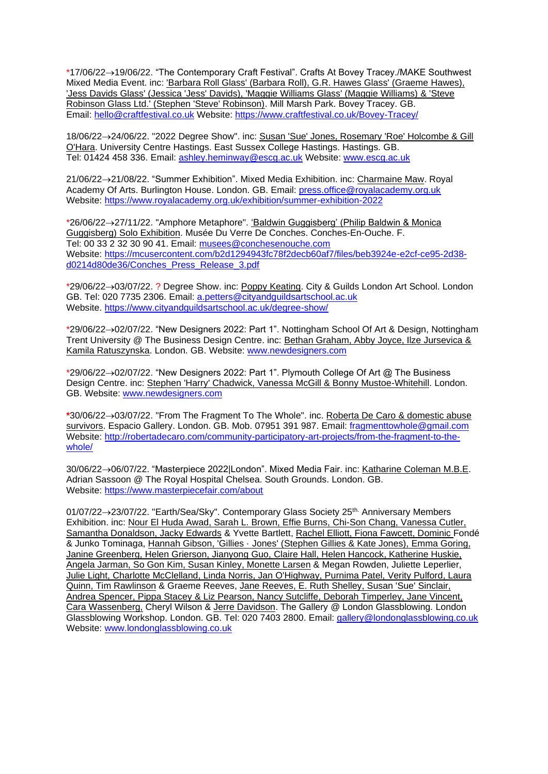\*17/06/22→19/06/22. "The Contemporary Craft Festival". Crafts At Bovey Tracey./MAKE Southwest Mixed Media Event. inc: 'Barbara Roll Glass' (Barbara Roll), G.R. Hawes Glass' (Graeme Hawes), 'Jess Davids Glass' (Jessica 'Jess' Davids), 'Maggie Williams Glass' (Maggie Williams) & 'Steve Robinson Glass Ltd.' (Stephen 'Steve' Robinson). Mill Marsh Park. Bovey Tracey. GB. Email: [hello@craftfestival.co.uk](mailto:hello@craftfestival.co.uk) Website:<https://www.craftfestival.co.uk/Bovey-Tracey/>

18/06/22→24/06/22. "2022 Degree Show". inc: Susan 'Sue' Jones, Rosemary 'Roe' Holcombe & Gill O'Hara. University Centre Hastings. East Sussex College Hastings. Hastings. GB. Tel: 01424 458 336. Email: [ashley.heminway@escg.ac.uk](mailto:ashley.heminway@escg.ac.uk) Website: [www.escg.ac.uk](http://www.escg.ac.uk/)

21/06/22→21/08/22. "Summer Exhibition". Mixed Media Exhibition. inc: Charmaine Maw. Royal Academy Of Arts. Burlington House. London. GB. Email: [press.office@royalacademy.org.uk](mailto:press.office@royalacademy.org.uk) Website:<https://www.royalacademy.org.uk/exhibition/summer-exhibition-2022>

\*26/06/22→27/11/22. "Amphore Metaphore". 'Baldwin Guggisberg' (Philip Baldwin & Monica Guggisberg) Solo Exhibition. Musée Du Verre De Conches. Conches-En-Ouche. F. Tel: 00 33 2 32 30 90 41. Email: [musees@conchesenouche.com](mailto:musees@conchesenouche.com) Website: [https://mcusercontent.com/b2d1294943fc78f2decb60af7/files/beb3924e-e2cf-ce95-2d38](https://mcusercontent.com/b2d1294943fc78f2decb60af7/files/beb3924e-e2cf-ce95-2d38-d0214d80de36/Conches_Press_Release_3.pdf) [d0214d80de36/Conches\\_Press\\_Release\\_3.pdf](https://mcusercontent.com/b2d1294943fc78f2decb60af7/files/beb3924e-e2cf-ce95-2d38-d0214d80de36/Conches_Press_Release_3.pdf)

\*29/06/22→03/07/22. ? Degree Show. inc: Poppy Keating. City & Guilds London Art School. London GB. Tel: 020 7735 2306. Email: [a.petters@cityandguildsartschool.ac.uk](mailto:a.petters@cityandguildsartschool.ac.uk) Website.<https://www.cityandguildsartschool.ac.uk/degree-show/>

\*29/06/22→02/07/22. "New Designers 2022: Part 1". Nottingham School Of Art & Design, Nottingham Trent University @ The Business Design Centre. inc: Bethan Graham, Abby Joyce, Ilze Jursevica & Kamila Ratuszynska. London. GB. Website: [www.newdesigners.com](http://www.newdesigners.com/)

\*29/06/22→02/07/22. "New Designers 2022: Part 1". Plymouth College Of Art @ The Business Design Centre. inc: Stephen 'Harry' Chadwick, Vanessa McGill & Bonny Mustoe-Whitehill. London. GB. Website: [www.newdesigners.com](http://www.newdesigners.com/)

**\***30/06/22→03/07/22. "From The Fragment To The Whole". inc. Roberta De Caro & domestic abuse survivors. Espacio Gallery. London. GB. Mob. 07951 391 987. Email: [fragmenttowhole@gmail.com](mailto:fragmenttowhole@gmail.com) Website: [http://robertadecaro.com/community-participatory-art-projects/from-the-fragment-to-the](http://robertadecaro.com/community-participatory-art-projects/from-the-fragment-to-the-whole/)[whole/](http://robertadecaro.com/community-participatory-art-projects/from-the-fragment-to-the-whole/)

30/06/22→06/07/22. "Masterpiece 2022|London". Mixed Media Fair. inc: Katharine Coleman M.B.E. Adrian Sassoon @ The Royal Hospital Chelsea. South Grounds. London. GB. Website:<https://www.masterpiecefair.com/about>

01/07/22→23/07/22. "Earth/Sea/Sky". Contemporary Glass Society 25th. Anniversary Members Exhibition. inc: Nour El Huda Awad, Sarah L. Brown, Effie Burns, Chi-Son Chang, Vanessa Cutler, Samantha Donaldson, Jacky Edwards & Yvette Bartlett, Rachel Elliott, Fiona Fawcett, Dominic Fondé & Junko Tominaga, Hannah Gibson, 'Gillies · Jones' (Stephen Gillies & Kate Jones), Emma Goring, Janine Greenberg, Helen Grierson, Jianyong Guo, Claire Hall, Helen Hancock, Katherine Huskie, Angela Jarman, So Gon Kim, Susan Kinley, Monette Larsen & Megan Rowden, Juliette Leperlier, Julie Light, Charlotte McClelland, Linda Norris, Jan O'Highway, Purnima Patel, Verity Pulford, Laura Quinn, Tim Rawlinson & Graeme Reeves, Jane Reeves, E. Ruth Shelley, Susan 'Sue' Sinclair, Andrea Spencer, Pippa Stacey & Liz Pearson, Nancy Sutcliffe, Deborah Timperley, Jane Vincent, Cara Wassenberg, Cheryl Wilson & Jerre Davidson. The Gallery @ London Glassblowing. London Glassblowing Workshop. London. GB. Tel: 020 7403 2800. Email: [gallery@londonglassblowing.co.uk](mailto:gallery@londonglassblowing.co.uk) Website: [www.londonglassblowing.co.uk](http://www.londonglassblowing.co.uk/)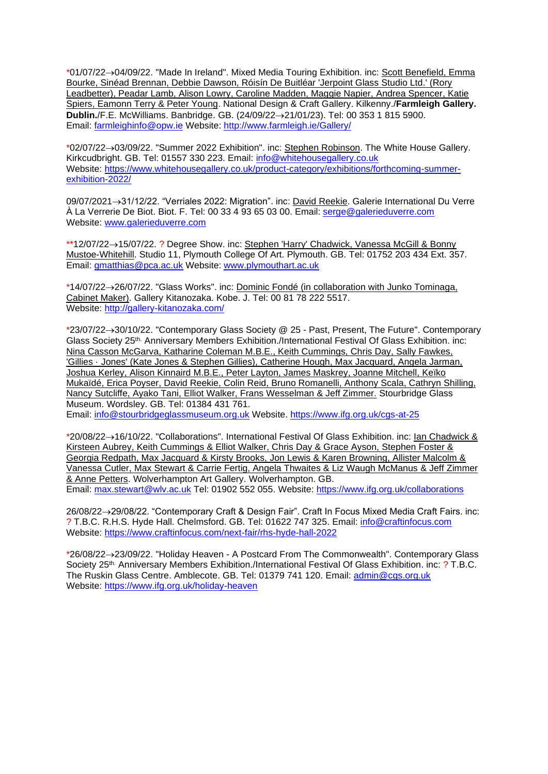\*01/07/22→04/09/22. "Made In Ireland". Mixed Media Touring Exhibition. inc: Scott Benefield, Emma Bourke, Sinéad Brennan, Debbie Dawson, Róisín De Buitléar 'Jerpoint Glass Studio Ltd.' (Rory Leadbetter), Peadar Lamb, Alison Lowry, Caroline Madden, Maggie Napier, Andrea Spencer, Katie Spiers, Eamonn Terry & Peter Young. National Design & Craft Gallery. Kilkenny./**Farmleigh Gallery. Dublin.**/F.E. McWilliams. Banbridge. GB. (24/09/22→21/01/23). Tel: 00 353 1 815 5900. Email: [farmleighinfo@opw.ie](mailto:farmleighinfo@opw.ie) Website:<http://www.farmleigh.ie/Gallery/>

\*02/07/22→03/09/22. "Summer 2022 Exhibition". inc: Stephen Robinson. The White House Gallery. Kirkcudbright. GB. Tel: 01557 330 223. Email: [info@whitehousegallery.co.uk](mailto:info@whitehousegallery.co.uk) Website: [https://www.whitehousegallery.co.uk/product-category/exhibitions/forthcoming-summer](https://www.whitehousegallery.co.uk/product-category/exhibitions/forthcoming-summer-exhibition-2022/)[exhibition-2022/](https://www.whitehousegallery.co.uk/product-category/exhibitions/forthcoming-summer-exhibition-2022/)

09/07/2021→31/12/22. "Verriales 2022: Migration". inc: David Reekie. Galerie International Du Verre À La Verrerie De Biot. Biot. F. Tel: 00 33 4 93 65 03 00. Email: [serge@galerieduverre.com](mailto:serge@galerieduverre.com) Website: [www.galerieduverre.com](http://www.galerieduverre.com/)

\*\*12/07/22→15/07/22. ? Degree Show. inc: Stephen 'Harry' Chadwick, Vanessa McGill & Bonny Mustoe-Whitehill. Studio 11, Plymouth College Of Art. Plymouth. GB. Tel: 01752 203 434 Ext. 357. Email: [gmatthias@pca.ac.uk](mailto:gmatthias@pca.ac.uk) Website: [www.plymouthart.ac.uk](http://www.plymouthart.ac.uk/)

\*14/07/22→26/07/22. "Glass Works". inc: Dominic Fondé (in collaboration with Junko Tominaga, Cabinet Maker). Gallery Kitanozaka. Kobe. J. Tel: 00 81 78 222 5517. Website:<http://gallery-kitanozaka.com/>

\*23/07/22→30/10/22. "Contemporary Glass Society @ 25 - Past, Present, The Future". Contemporary Glass Society 25th. Anniversary Members Exhibition./International Festival Of Glass Exhibition. inc: Nina Casson McGarva, Katharine Coleman M.B.E., Keith Cummings, Chris Day, Sally Fawkes, 'Gillies · Jones' (Kate Jones & Stephen Gillies), Catherine Hough, Max Jacquard, Angela Jarman, Joshua Kerley, Alison Kinnaird M.B.E., Peter Layton, James Maskrey, Joanne Mitchell, Keïko Mukaïdé, Erica Poyser, David Reekie, Colin Reid, Bruno Romanelli, Anthony Scala, Cathryn Shilling, Nancy Sutcliffe, Ayako Tani, Elliot Walker, Frans Wesselman & Jeff Zimmer. Stourbridge Glass Museum. Wordsley. GB. Tel: 01384 431 761.

Email: [info@stourbridgeglassmuseum.org.uk](mailto:info@stourbridgeglassmuseum.org.uk) Website.<https://www.ifg.org.uk/cgs-at-25>

\*20/08/22→16/10/22. "Collaborations". International Festival Of Glass Exhibition. inc: Ian Chadwick & Kirsteen Aubrey, Keith Cummings & Elliot Walker, Chris Day & Grace Ayson, Stephen Foster & Georgia Redpath, Max Jacquard & Kirsty Brooks, Jon Lewis & Karen Browning, Allister Malcolm & Vanessa Cutler, Max Stewart & Carrie Fertig, Angela Thwaites & Liz Waugh McManus & Jeff Zimmer & Anne Petters. Wolverhampton Art Gallery. Wolverhampton. GB. Email: [max.stewart@wlv.ac.uk](mailto:max.stewart@wlv.ac.uk) Tel: 01902 552 055. Website:<https://www.ifg.org.uk/collaborations>

26/08/22→29/08/22. "Contemporary Craft & Design Fair". Craft In Focus Mixed Media Craft Fairs. inc: ? T.B.C. R.H.S. Hyde Hall. Chelmsford. GB. Tel: 01622 747 325. Email: [info@craftinfocus.com](mailto:info@craftinfocus.com) Website:<https://www.craftinfocus.com/next-fair/rhs-hyde-hall-2022>

\*26/08/22→23/09/22. "Holiday Heaven - A Postcard From The Commonwealth". Contemporary Glass Society 25th. Anniversary Members Exhibition./International Festival Of Glass Exhibition. inc: ? T.B.C. The Ruskin Glass Centre. Amblecote. GB. Tel: 01379 741 120. Email: [admin@cgs.org.uk](mailto:admin@cgs.org.uk) Website:<https://www.ifg.org.uk/holiday-heaven>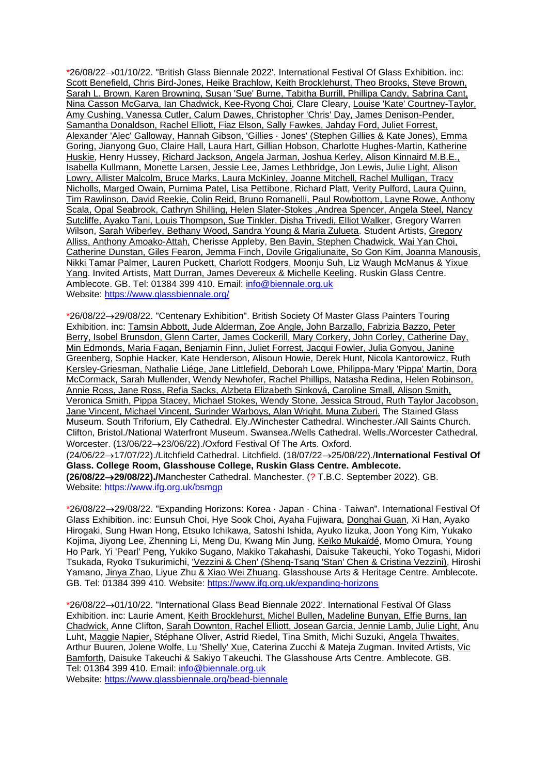\*26/08/22→01/10/22. "British Glass Biennale 2022'. International Festival Of Glass Exhibition. inc: Scott Benefield, Chris Bird-Jones, Heike Brachlow, Keith Brocklehurst, Theo Brooks, Steve Brown, Sarah L. Brown, Karen Browning, Susan 'Sue' Burne, Tabitha Burrill, Phillipa Candy, Sabrina Cant, Nina Casson McGarva, Ian Chadwick, Kee-Ryong Choi, Clare Cleary, Louise 'Kate' Courtney-Taylor, Amy Cushing, Vanessa Cutler, Calum Dawes, Christopher 'Chris' Day, James Denison-Pender, Samantha Donaldson, Rachel Elliott, Fiaz Elson, Sally Fawkes, Jahday Ford, Juliet Forrest, Alexander 'Alec' Galloway, Hannah Gibson, 'Gillies · Jones' (Stephen Gillies & Kate Jones), Emma Goring, Jianyong Guo, Claire Hall, Laura Hart, Gillian Hobson, Charlotte Hughes-Martin, Katherine Huskie, Henry Hussey, Richard Jackson, Angela Jarman, Joshua Kerley, Alison Kinnaird M.B.E., Isabella Kullmann, Monette Larsen, Jessie Lee, James Lethbridge, Jon Lewis, Julie Light, Alison Lowry, Allister Malcolm, Bruce Marks, Laura McKinley, Joanne Mitchell, Rachel Mulligan, Tracy Nicholls, Marged Owain, Purnima Patel, Lisa Pettibone, Richard Platt, Verity Pulford, Laura Quinn, Tim Rawlinson, David Reekie, Colin Reid, Bruno Romanelli, Paul Rowbottom, Layne Rowe, Anthony Scala, Opal Seabrook, Cathryn Shilling, Helen Slater-Stokes ,Andrea Spencer, Angela Steel, Nancy Sutcliffe, Ayako Tani, Louis Thompson, Sue Tinkler, Disha Trivedi, Elliot Walker, Gregory Warren Wilson, Sarah Wiberley, Bethany Wood, Sandra Young & Maria Zulueta. Student Artists, Gregory Alliss, Anthony Amoako-Attah, Cherisse Appleby, Ben Bavin, Stephen Chadwick, Wai Yan Choi, Catherine Dunstan, Giles Fearon, Jemma Finch, Dovile Grigaliunaite, So Gon Kim, Joanna Manousis, Nikki Tamar Palmer, Lauren Puckett, Charlott Rodgers, Moonju Suh, Liz Waugh McManus & Yixue Yang. Invited Artists, Matt Durran, James Devereux & Michelle Keeling. Ruskin Glass Centre. Amblecote. GB. Tel: 01384 399 410. Email: [info@biennale.org.uk](mailto:info@biennale.org.uk) Website:<https://www.glassbiennale.org/>

\*26/08/22→29/08/22. "Centenary Exhibition". British Society Of Master Glass Painters Touring Exhibition. inc: Tamsin Abbott, Jude Alderman, Zoe Angle, John Barzallo, Fabrizia Bazzo, Peter Berry, Isobel Brunsdon, Glenn Carter, James Cockerill, Mary Corkery, John Corley, Catherine Day, Min Edmonds, Maria Fagan, Benjamin Finn, Juliet Forrest, Jacqui Fowler, Julia Gonyou, Janine Greenberg, Sophie Hacker, Kate Henderson, Alisoun Howie, Derek Hunt, Nicola Kantorowicz, Ruth Kersley-Griesman, Nathalie Liége, Jane Littlefield, Deborah Lowe, Philippa-Mary 'Pippa' Martin, Dora McCormack, Sarah Mullender, Wendy Newhofer, Rachel Phillips, Natasha Redina, Helen Robinson, Annie Ross, Jane Ross, Refia Sacks, Alzbeta Elizabeth Sinková, Caroline Small, Alison Smith, Veronica Smith, Pippa Stacey, Michael Stokes, Wendy Stone, Jessica Stroud, Ruth Taylor Jacobson, Jane Vincent, Michael Vincent, Surinder Warboys, Alan Wright, Muna Zuberi. The Stained Glass Museum. South Triforium, Ely Cathedral. Ely./Winchester Cathedral. Winchester./All Saints Church. Clifton, Bristol./National Waterfront Museum. Swansea./Wells Cathedral. Wells./Worcester Cathedral. Worcester. (13/06/22→23/06/22)./Oxford Festival Of The Arts. Oxford.

(24/06/22→17/07/22)./Litchfield Cathedral. Litchfield. (18/07/22→25/08/22)./**International Festival Of Glass. College Room, Glasshouse College, Ruskin Glass Centre. Amblecote. (26/08/22**→**29/08/22)./**Manchester Cathedral. Manchester. (? T.B.C. September 2022). GB. Website: <https://www.ifg.org.uk/bsmgp>

\*26/08/22→29/08/22. "Expanding Horizons: Korea · Japan · China · Taiwan". International Festival Of Glass Exhibition. inc: Eunsuh Choi, Hye Sook Choi, Ayaha Fujiwara, Donghai Guan, Xi Han, Ayako Hirogaki, Sung Hwan Hong, Etsuko Ichikawa, Satoshi Ishida, Ayuko Iizuka, Joon Yong Kim, Yukako Kojima, Jiyong Lee, Zhenning Li, Meng Du, Kwang Min Jung, Keïko Mukaïdé, Momo Omura, Young Ho Park, Yi 'Pearl' Peng, Yukiko Sugano, Makiko Takahashi, Daisuke Takeuchi, Yoko Togashi, Midori Tsukada, Ryoko Tsukurimichi, 'Vezzini & Chen' (Sheng-Tsang 'Stan' Chen & Cristina Vezzini), Hiroshi Yamano, Jinya Zhao, Liyue Zhu & Xiao Wei Zhuang. Glasshouse Arts & Heritage Centre. Amblecote. GB. Tel: 01384 399 410. Website:<https://www.ifg.org.uk/expanding-horizons>

\*26/08/22→01/10/22. "International Glass Bead Biennale 2022'. International Festival Of Glass Exhibition. inc: Laurie Ament, Keith Brocklehurst, Michel Bullen, Madeline Bunyan, Effie Burns, Ian Chadwick, Anne Clifton, Sarah Downton, Rachel Elliott, Josean Garcia, Jennie Lamb, Julie Light, Anu Luht, Maggie Napier, Stéphane Oliver, Astrid Riedel, Tina Smith, Michi Suzuki, Angela Thwaites, Arthur Buuren, Jolene Wolfe, Lu 'Shelly' Xue, Caterina Zucchi & Mateja Zugman. Invited Artists, Vic Bamforth, Daisuke Takeuchi & Sakiyo Takeuchi. The Glasshouse Arts Centre. Amblecote. GB. Tel: 01384 399 410. Email: [info@biennale.org.uk](mailto:info@biennale.org.uk) Website:<https://www.glassbiennale.org/bead-biennale>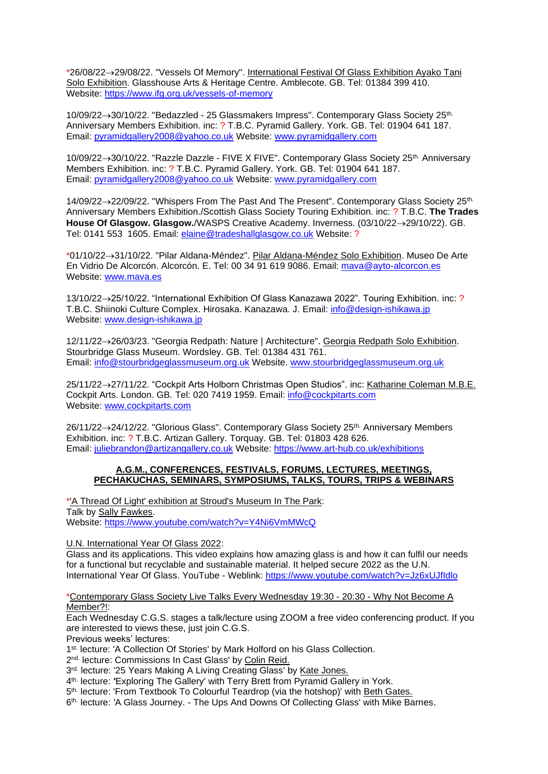\*26/08/22→29/08/22. "Vessels Of Memory". International Festival Of Glass Exhibition Ayako Tani Solo Exhibition. Glasshouse Arts & Heritage Centre. Amblecote. GB. Tel: 01384 399 410. Website:<https://www.ifg.org.uk/vessels-of-memory>

10/09/22→30/10/22. "Bedazzled - 25 Glassmakers Impress". Contemporary Glass Society 25th. Anniversary Members Exhibition. inc: ? T.B.C. Pyramid Gallery. York. GB. Tel: 01904 641 187. Email: [pyramidgallery2008@yahoo.co.uk](mailto:pyramidgallery2008@yahoo.co.uk) Website: [www.pyramidgallery.com](http://www.pyramidgallery.com/)

10/09/22→30/10/22. "Razzle Dazzle - FIVE X FIVE". Contemporary Glass Society 25th. Anniversary Members Exhibition. inc: ? T.B.C. Pyramid Gallery. York. GB. Tel: 01904 641 187. Email: [pyramidgallery2008@yahoo.co.uk](mailto:pyramidgallery2008@yahoo.co.uk) Website: [www.pyramidgallery.com](http://www.pyramidgallery.com/)

14/09/22→22/09/22. "Whispers From The Past And The Present". Contemporary Glass Society 25<sup>th.</sup> Anniversary Members Exhibition./Scottish Glass Society Touring Exhibition. inc: ? T.B.C. **The Trades House Of Glasgow. Glasgow.**/WASPS Creative Academy. Inverness. (03/10/22→29/10/22). GB. Tel: 0141 553 1605. Email: [elaine@tradeshallglasgow.co.uk](mailto:elaine@tradeshallglasgow.co.uk) Website: ?

\*01/10/22→31/10/22. "Pilar Aldana-Méndez". Pilar Aldana-Méndez Solo Exhibition. Museo De Arte En Vidrio De Alcorcón. Alcorcón. E. Tel: 00 34 91 619 9086. Email: [mava@ayto-alcorcon.es](mailto:mava@ayto-alcorcon.es) Website: [www.mava.es](http://www.mava.es/)

13/10/22→25/10/22. "International Exhibition Of Glass Kanazawa 2022". Touring Exhibition. inc: ? T.B.C. Shiinoki Culture Complex. Hirosaka. Kanazawa. J. Email: [info@design-ishikawa.jp](mailto:info@design-ishikawa.jp) Website: [www.design-ishikawa.jp](http://www.design-ishikawa.jp/)

12/11/22→26/03/23. "Georgia Redpath: Nature | Architecture". Georgia Redpath Solo Exhibition. Stourbridge Glass Museum. Wordsley. GB. Tel: 01384 431 761. Email: [info@stourbridgeglassmuseum.org.uk](mailto:info@stourbridgeglassmuseum.org.uk) Website. [www.stourbridgeglassmuseum.org.uk](http://www.stourbridgeglassmuseum.org.uk/)

25/11/22→27/11/22. "Cockpit Arts Holborn Christmas Open Studios". inc: Katharine Coleman M.B.E. Cockpit Arts. London. GB. Tel: 020 7419 1959. Email: [info@cockpitarts.com](mailto:info@cockpitarts.com) Website: [www.cockpitarts.com](http://www.cockpitarts.com/)

26/11/22→24/12/22. "Glorious Glass". Contemporary Glass Society 25<sup>th.</sup> Anniversary Members Exhibition. inc: ? T.B.C. Artizan Gallery. Torquay. GB. Tel: 01803 428 626. Email: [juliebrandon@artizangallery.co.uk](mailto:juliebrandon@artizangallery.co.uk) Website:<https://www.art-hub.co.uk/exhibitions>

#### **A.G.M., CONFERENCES, FESTIVALS, FORUMS, LECTURES, MEETINGS, PECHAKUCHAS, SEMINARS, SYMPOSIUMS, TALKS, TOURS, TRIPS & WEBINARS**

\*'A Thread Of Light' exhibition at Stroud's Museum In The Park: Talk by Sally Fawkes. Website:<https://www.youtube.com/watch?v=Y4Ni6VmMWcQ>

U.N. International Year Of Glass 2022:

Glass and its applications. This video explains how amazing glass is and how it can fulfil our needs for a functional but recyclable and sustainable material. It helped secure 2022 as the U.N. International Year Of Glass. YouTube - Weblink:<https://www.youtube.com/watch?v=Jz6xUJfIdlo>

\*Contemporary Glass Society Live Talks Every Wednesday 19:30 - 20:30 - Why Not Become A Member?!:

Each Wednesday C.G.S. stages a talk/lecture using ZOOM a free video conferencing product. If you are interested to views these, just join C.G.S.

Previous weeks' lectures:

1<sup>st.</sup> lecture: 'A Collection Of Stories' by Mark Holford on his Glass Collection.

2<sup>nd.</sup> lecture: Commissions In Cast Glass' by Colin Reid.

3<sup>rd.</sup> lecture: '25 Years Making A Living Creating Glass' by Kate Jones.

4 th. lecture: *'*Exploring The Gallery' with Terry Brett from Pyramid Gallery in York.

5<sup>th.</sup> lecture: 'From Textbook To Colourful Teardrop (via the hotshop)' with **Beth Gates.** 

6 th. lecture: *'*A Glass Journey. - The Ups And Downs Of Collecting Glass' with Mike Barnes.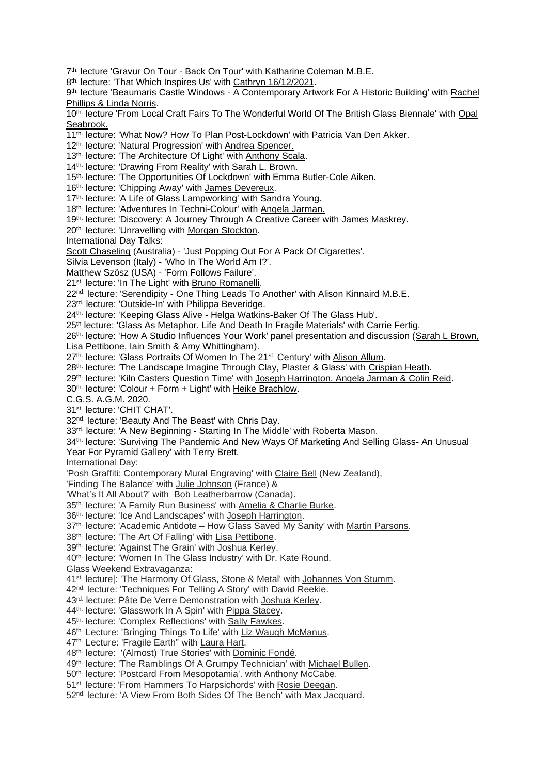- 7<sup>th.</sup> lecture 'Gravur On Tour Back On Tour' with Katharine Coleman M.B.E.
- 8<sup>th.</sup> lecture: 'That Which Inspires Us' with Cathryn 16/12/2021.
- 9<sup>th.</sup> lecture 'Beaumaris Castle Windows A Contemporary Artwork For A Historic Building' with Rachel Phillips & Linda Norris.
- 10th. lecture 'From Local Craft Fairs To The Wonderful World Of The British Glass Biennale' with Opal Seabrook.
- 11<sup>th.</sup> lecture: 'What Now? How To Plan Post-Lockdown' with Patricia Van Den Akker.
- 12<sup>th.</sup> lecture: 'Natural Progression' with Andrea Spencer.
- 13<sup>th.</sup> lecture: 'The Architecture Of Light' with Anthony Scala.
- 14th. lecture*: '*Drawing From Reality' with Sarah L. Brown.
- 15<sup>th.</sup> lecture: 'The Opportunities Of Lockdown' with Emma Butler-Cole Aiken.
- 16<sup>th.</sup> lecture: 'Chipping Away' with James Devereux.
- 17<sup>th.</sup> lecture: 'A Life of Glass Lampworking' with Sandra Young.
- 18th. lecture: 'Adventures In Techni-Colour' with Angela Jarman.
- 19th. lecture: 'Discovery: A Journey Through A Creative Career with James Maskrey.
- 20<sup>th.</sup> lecture: 'Unravelling with Morgan Stockton.

International Day Talks:

Scott Chaseling (Australia) - 'Just Popping Out For A Pack Of Cigarettes'.

- Silvia Levenson (Italy) 'Who In The World Am I?'.
- Matthew Szösz (USA) 'Form Follows Failure'.
- 21<sup>st.</sup> lecture: 'In The Light' with **Bruno Romanelli**.
- 22<sup>nd.</sup> lecture: 'Serendipity One Thing Leads To Another' with Alison Kinnaird M.B.E.
- 23rd. lecture: 'Outside-In' with Philippa Beveridge.
- 24th. lecture: 'Keeping Glass Alive Helga Watkins-Baker Of The Glass Hub'.
- 25<sup>th</sup> lecture: 'Glass As Metaphor. Life And Death In Fragile Materials' with Carrie Fertig.
- 26<sup>th.</sup> lecture: 'How A Studio Influences Your Work' panel presentation and discussion (Sarah L Brown,
- Lisa Pettibone, Iain Smith & Amy Whittingham).
- 27<sup>th.</sup> lecture: 'Glass Portraits Of Women In The 21<sup>st.</sup> Century' with Alison Allum.
- 28th. lecture: 'The Landscape Imagine Through Clay, Plaster & Glass' with Crispian Heath.
- 29<sup>th</sup>. lecture: 'Kiln Casters Question Time' with Joseph Harrington, Angela Jarman & Colin Reid.
- 30th. lecture: 'Colour + Form + Light' with Heike Brachlow.
- C.G.S. A.G.M. 2020.
- 31st. lecture: 'CHIT CHAT'.
- 32nd. lecture: 'Beauty And The Beast' with Chris Day.
- 33<sup>rd.</sup> lecture: 'A New Beginning Starting In The Middle' with Roberta Mason.
- 34th. lecture: 'Surviving The Pandemic And New Ways Of Marketing And Selling Glass- An Unusual Year For Pyramid Gallery' with Terry Brett.

International Day:

- 'Posh Graffiti: Contemporary Mural Engraving' with Claire Bell (New Zealand),
- 'Finding The Balance' with Julie Johnson (France) &
- 'What's It All About?' with Bob Leatherbarrow (Canada).
- 35<sup>th.</sup> lecture: 'A Family Run Business' with Amelia & Charlie Burke.
- 36<sup>th.</sup> lecture: 'Ice And Landscapes' with Joseph Harrington.
- 37<sup>th.</sup> lecture: 'Academic Antidote How Glass Saved My Sanity' with Martin Parsons.
- 38<sup>th.</sup> lecture: 'The Art Of Falling' with Lisa Pettibone.
- 39<sup>th.</sup> lecture: 'Against The Grain' with Joshua Kerley.
- 40<sup>th.</sup> lecture: 'Women In The Glass Industry' with Dr. Kate Round.
- Glass Weekend Extravaganza:
- 41<sup>st.</sup> lecture|: 'The Harmony Of Glass, Stone & Metal' with Johannes Von Stumm.
- 42<sup>nd.</sup> lecture: 'Techniques For Telling A Story' with David Reekie.
- 43<sup>rd.</sup> lecture: Pâte De Verre Demonstration with Joshua Kerley.
- 44<sup>th.</sup> lecture: 'Glasswork In A Spin' with Pippa Stacey.
- 45<sup>th.</sup> lecture: 'Complex Reflections' with Sally Fawkes.
- 46th. Lecture: 'Bringing Things To Life' with Liz Waugh McManus.
- 47<sup>th.</sup> Lecture: 'Fragile Earth" with Laura Hart.
- 48<sup>th.</sup> lecture: '(Almost) True Stories' with Dominic Fondé.
- 49<sup>th.</sup> lecture: 'The Ramblings Of A Grumpy Technician' with Michael Bullen.
- 50<sup>th.</sup> lecture: 'Postcard From Mesopotamia'. with Anthony McCabe.
- 51<sup>st.</sup> lecture: 'From Hammers To Harpsichords' with Rosie Deegan.
- 52<sup>nd.</sup> lecture: 'A View From Both Sides Of The Bench' with Max Jacquard.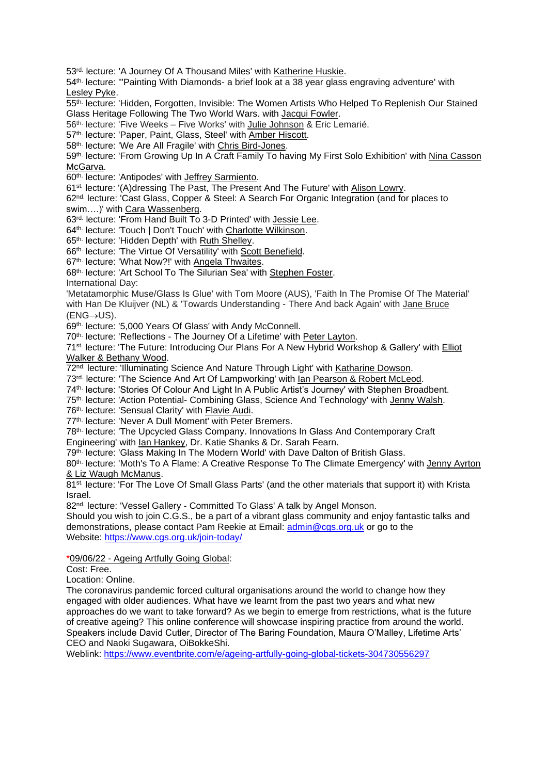53<sup>rd.</sup> lecture: 'A Journey Of A Thousand Miles' with Katherine Huskie.

54th. lecture: '"Painting With Diamonds- a brief look at a 38 year glass engraving adventure' with Lesley Pyke.

55<sup>th.</sup> lecture: 'Hidden, Forgotten, Invisible: The Women Artists Who Helped To Replenish Our Stained Glass Heritage Following The Two World Wars. with Jacqui Fowler.

56<sup>th.</sup> lecture: 'Five Weeks – Five Works' with **Julie Johnson & Eric Lemarié**.

57<sup>th.</sup> lecture: 'Paper, Paint, Glass, Steel' with Amber Hiscott.

58<sup>th.</sup> lecture: 'We Are All Fragile' with Chris Bird-Jones.

59<sup>th.</sup> lecture: 'From Growing Up In A Craft Family To having My First Solo Exhibition' with Nina Casson McGarva.

60<sup>th.</sup> lecture: 'Antipodes' with **Jeffrey Sarmiento**.

61<sup>st.</sup> lecture: '(A)dressing The Past, The Present And The Future' with **Alison Lowry**.

62<sup>nd.</sup> lecture: 'Cast Glass, Copper & Steel: A Search For Organic Integration (and for places to swim….)' with Cara Wassenberg.

63<sup>rd.</sup> lecture: 'From Hand Built To 3-D Printed' with Jessie Lee.

64<sup>th.</sup> lecture: 'Touch | Don't Touch' with Charlotte Wilkinson.

65<sup>th.</sup> lecture: 'Hidden Depth' with Ruth Shelley.

66<sup>th.</sup> lecture: 'The Virtue Of Versatility' with **Scott Benefield**.

67<sup>th.</sup> lecture: 'What Now?!' with Angela Thwaites.

68<sup>th.</sup> lecture: 'Art School To The Silurian Sea' with Stephen Foster.

International Day:

'Metatamorphic Muse/Glass Is Glue' with Tom Moore (AUS), 'Faith In The Promise Of The Material' with Han De Kluijver (NL) & 'Towards Understanding - There And back Again' with Jane Bruce (ENG→US).

69<sup>th.</sup> lecture: '5,000 Years Of Glass' with Andy McConnell.

70<sup>th.</sup> lecture: 'Reflections - The Journey Of a Lifetime' with Peter Layton.

71<sup>st.</sup> lecture: 'The Future: Introducing Our Plans For A New Hybrid Workshop & Gallery' with **Elliot** Walker & Bethany Wood.

72<sup>nd.</sup> lecture: 'Illuminating Science And Nature Through Light' with Katharine Dowson.

73<sup>rd.</sup> lecture: 'The Science And Art Of Lampworking' with lan Pearson & Robert McLeod.

74th. lecture: 'Stories Of Colour And Light In A Public Artist's Journey' with Stephen Broadbent.

75<sup>th.</sup> lecture: 'Action Potential- Combining Glass, Science And Technology' with Jenny Walsh.

76<sup>th.</sup> lecture: 'Sensual Clarity' with **Flavie Audi**.

77<sup>th.</sup> lecture: 'Never A Dull Moment' with Peter Bremers.

78th. lecture: 'The Upcycled Glass Company. Innovations In Glass And Contemporary Craft

Engineering' with Ian Hankey, Dr. Katie Shanks & Dr. Sarah Fearn.

79th. lecture: 'Glass Making In The Modern World' with Dave Dalton of British Glass.

80<sup>th.</sup> lecture: 'Moth's To A Flame: A Creative Response To The Climate Emergency' with Jenny Ayrton & Liz Waugh McManus.

81<sup>st.</sup> lecture: 'For The Love Of Small Glass Parts' (and the other materials that support it) with Krista Israel.

82nd. lecture: 'Vessel Gallery - Committed To Glass' A talk by Angel Monson.

Should you wish to join C.G.S., be a part of a vibrant glass community and enjoy fantastic talks and demonstrations, please contact Pam Reekie at Email: [admin@cgs.org.uk](mailto:admin@cgs.org.uk) or go to the Website: <https://www.cgs.org.uk/join-today/>

\*09/06/22 - Ageing Artfully Going Global:

Cost: Free.

Location: Online.

The coronavirus pandemic forced cultural organisations around the world to change how they engaged with older audiences. What have we learnt from the past two years and what new approaches do we want to take forward? As we begin to emerge from restrictions, what is the future of creative ageing? This online conference will showcase inspiring practice from around the world. Speakers include David Cutler, Director of The Baring Foundation, Maura O'Malley, Lifetime Arts' CEO and Naoki Sugawara, OiBokkeShi.

Weblink:<https://www.eventbrite.com/e/ageing-artfully-going-global-tickets-304730556297>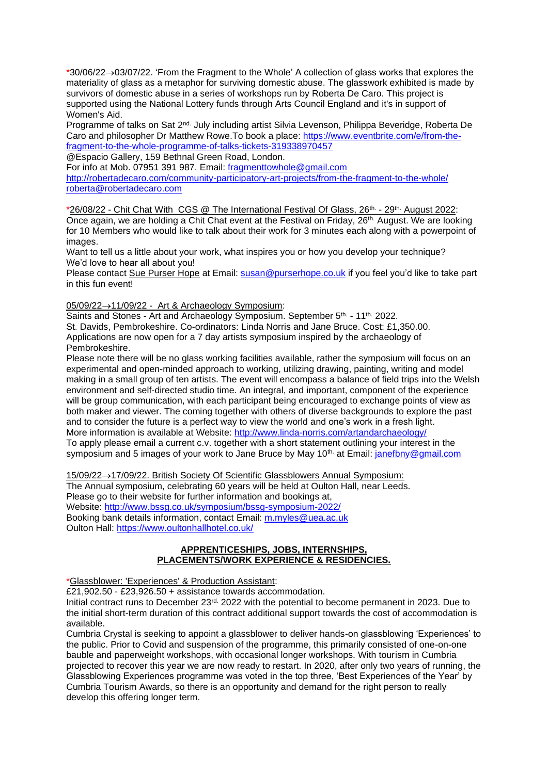\*30/06/22→03/07/22. 'From the Fragment to the Whole' A collection of glass works that explores the materiality of glass as a metaphor for surviving domestic abuse. The glasswork exhibited is made by survivors of domestic abuse in a series of workshops run by Roberta De Caro. This project is supported using the National Lottery funds through Arts Council England and it's in support of Women's Aid.

Programme of talks on Sat 2nd. July including artist Silvia Levenson, Philippa Beveridge, Roberta De Caro and philosopher Dr Matthew Rowe.To book a place: [https://www.eventbrite.com/e/from-the](https://www.eventbrite.com/e/from-the-fragment-to-the-whole-programme-of-talks-tickets-319338970457)[fragment-to-the-whole-programme-of-talks-tickets-319338970457](https://www.eventbrite.com/e/from-the-fragment-to-the-whole-programme-of-talks-tickets-319338970457) @Espacio Gallery, 159 Bethnal Green Road, London.

For info at Mob. 07951 391 987. Email: [fragmenttowhole@gmail.com](mailto:fragmenttowhole@gmail.com)

<http://robertadecaro.com/community-participatory-art-projects/from-the-fragment-to-the-whole/> [roberta@robertadecaro.com](mailto:roberta@robertadecaro.com)

\*26/08/22 - Chit Chat With CGS @ The International Festival Of Glass, 26th. - 29th. August 2022: Once again, we are holding a Chit Chat event at the Festival on Friday, 26<sup>th.</sup> August. We are looking for 10 Members who would like to talk about their work for 3 minutes each along with a powerpoint of images.

Want to tell us a little about your work, what inspires you or how you develop your technique? We'd love to hear all about you!

Please contact Sue Purser Hope at Email: [susan@purserhope.co.uk](mailto:susan@purserhope.co.uk) if you feel you'd like to take part in this fun event!

#### 05/09/22→11/09/22 - Art & Archaeology Symposium:

Saints and Stones - Art and Archaeology Symposium. September 5<sup>th.</sup> - 11<sup>th.</sup> 2022. St. Davids, Pembrokeshire. Co-ordinators: Linda Norris and Jane Bruce. Cost: £1,350.00. Applications are now open for a 7 day artists symposium inspired by the archaeology of Pembrokeshire.

Please note there will be no glass working facilities available, rather the symposium will focus on an experimental and open-minded approach to working, utilizing drawing, painting, writing and model making in a small group of ten artists. The event will encompass a balance of field trips into the Welsh environment and self-directed studio time. An integral, and important, component of the experience will be group communication, with each participant being encouraged to exchange points of view as both maker and viewer. The coming together with others of diverse backgrounds to explore the past and to consider the future is a perfect way to view the world and one's work in a fresh light. More information is available at Website: <http://www.linda-norris.com/artandarchaeology/> To apply please email a current c.v. together with a short statement outlining your interest in the symposium and 5 images of your work to Jane Bruce by May 10<sup>th.</sup> at Email: [janefbny@gmail.com](mailto:janefbny@gmail.com)

15/09/22→17/09/22. British Society Of Scientific Glassblowers Annual Symposium:

The Annual symposium, celebrating 60 years will be held at Oulton Hall, near Leeds. Please go to their website for further information and bookings at, Website:<http://www.bssg.co.uk/symposium/bssg-symposium-2022/> Booking bank details information, contact Email: [m.myles@uea.ac.uk](mailto:m.myles@uea.ac.uk) Oulton Hall:<https://www.oultonhallhotel.co.uk/>

## **APPRENTICESHIPS, JOBS, INTERNSHIPS, PLACEMENTS/WORK EXPERIENCE & RESIDENCIES.**

\*Glassblower: 'Experiences' & Production Assistant:

 $£21,902.50 - £23,926.50 +$  assistance towards accommodation.

Initial contract runs to December 23<sup>rd.</sup> 2022 with the potential to become permanent in 2023. Due to the initial short-term duration of this contract additional support towards the cost of accommodation is available.

Cumbria Crystal is seeking to appoint a glassblower to deliver hands-on glassblowing 'Experiences' to the public. Prior to Covid and suspension of the programme, this primarily consisted of one-on-one bauble and paperweight workshops, with occasional longer workshops. With tourism in Cumbria projected to recover this year we are now ready to restart. In 2020, after only two years of running, the Glassblowing Experiences programme was voted in the top three, 'Best Experiences of the Year' by Cumbria Tourism Awards, so there is an opportunity and demand for the right person to really develop this offering longer term.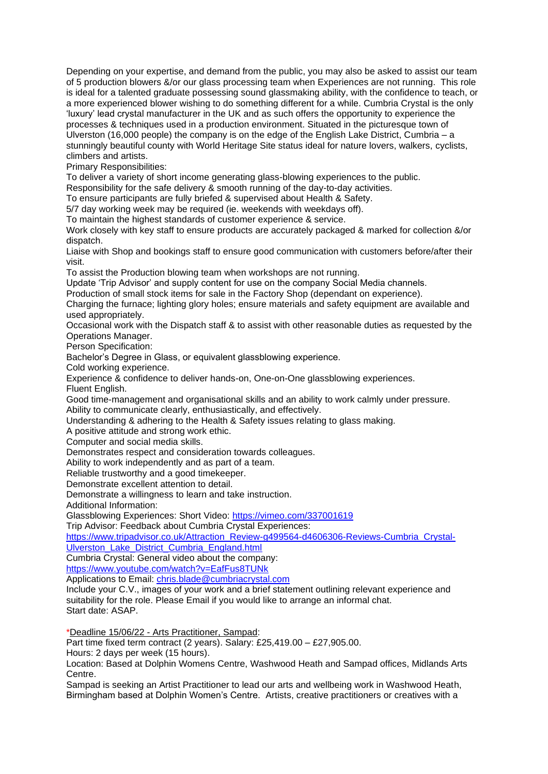Depending on your expertise, and demand from the public, you may also be asked to assist our team of 5 production blowers &/or our glass processing team when Experiences are not running. This role is ideal for a talented graduate possessing sound glassmaking ability, with the confidence to teach, or a more experienced blower wishing to do something different for a while. Cumbria Crystal is the only 'luxury' lead crystal manufacturer in the UK and as such offers the opportunity to experience the processes & techniques used in a production environment. Situated in the picturesque town of Ulverston (16,000 people) the company is on the edge of the English Lake District, Cumbria – a stunningly beautiful county with World Heritage Site status ideal for nature lovers, walkers, cyclists, climbers and artists.

Primary Responsibilities:

To deliver a variety of short income generating glass-blowing experiences to the public.

Responsibility for the safe delivery & smooth running of the day-to-day activities.

To ensure participants are fully briefed & supervised about Health & Safety.

5/7 day working week may be required (ie. weekends with weekdays off).

To maintain the highest standards of customer experience & service.

Work closely with key staff to ensure products are accurately packaged & marked for collection &/or dispatch.

Liaise with Shop and bookings staff to ensure good communication with customers before/after their visit.

To assist the Production blowing team when workshops are not running.

Update 'Trip Advisor' and supply content for use on the company Social Media channels.

Production of small stock items for sale in the Factory Shop (dependant on experience).

Charging the furnace; lighting glory holes; ensure materials and safety equipment are available and used appropriately.

Occasional work with the Dispatch staff & to assist with other reasonable duties as requested by the Operations Manager.

Person Specification:

Bachelor's Degree in Glass, or equivalent glassblowing experience.

Cold working experience.

Experience & confidence to deliver hands-on, One-on-One glassblowing experiences.

Fluent English.

Good time-management and organisational skills and an ability to work calmly under pressure. Ability to communicate clearly, enthusiastically, and effectively.

Understanding & adhering to the Health & Safety issues relating to glass making.

A positive attitude and strong work ethic.

Computer and social media skills.

Demonstrates respect and consideration towards colleagues.

Ability to work independently and as part of a team.

Reliable trustworthy and a good timekeeper.

Demonstrate excellent attention to detail.

Demonstrate a willingness to learn and take instruction.

Additional Information:

Glassblowing Experiences: Short Video:<https://vimeo.com/337001619>

Trip Advisor: Feedback about Cumbria Crystal Experiences:

[https://www.tripadvisor.co.uk/Attraction\\_Review-g499564-d4606306-Reviews-Cumbria\\_Crystal-](https://www.tripadvisor.co.uk/Attraction_Review-g499564-d4606306-Reviews-Cumbria_Crystal-Ulverston_Lake_District_Cumbria_England.html)[Ulverston\\_Lake\\_District\\_Cumbria\\_England.html](https://www.tripadvisor.co.uk/Attraction_Review-g499564-d4606306-Reviews-Cumbria_Crystal-Ulverston_Lake_District_Cumbria_England.html)

Cumbria Crystal: General video about the company:

<https://www.youtube.com/watch?v=EafFus8TUNk>

Applications to Email: [chris.blade@cumbriacrystal.com](mailto:chris.blade@cumbriacrystal.com)

Include your C.V., images of your work and a brief statement outlining relevant experience and suitability for the role. Please Email if you would like to arrange an informal chat. Start date: ASAP.

\*Deadline 15/06/22 - Arts Practitioner, Sampad:

Part time fixed term contract (2 years). Salary: £25,419.00 – £27,905.00.

Hours: 2 days per week (15 hours).

Location: Based at Dolphin Womens Centre, Washwood Heath and Sampad offices, Midlands Arts Centre.

Sampad is seeking an Artist Practitioner to lead our arts and wellbeing work in Washwood Heath, Birmingham based at Dolphin Women's Centre. Artists, creative practitioners or creatives with a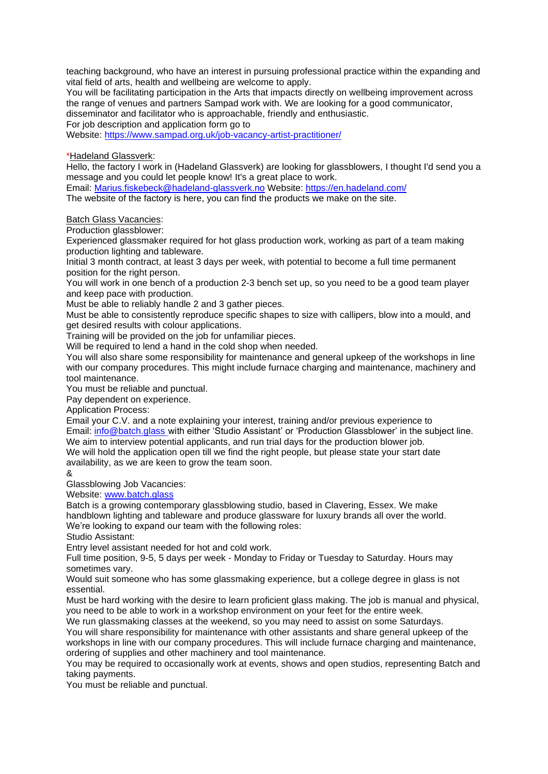teaching background, who have an interest in pursuing professional practice within the expanding and vital field of arts, health and wellbeing are welcome to apply.

You will be facilitating participation in the Arts that impacts directly on wellbeing improvement across the range of venues and partners Sampad work with. We are looking for a good communicator, disseminator and facilitator who is approachable, friendly and enthusiastic. For job description and application form go to

Website:<https://www.sampad.org.uk/job-vacancy-artist-practitioner/>

\*Hadeland Glassverk:

Hello, the factory I work in (Hadeland Glassverk) are looking for glassblowers, I thought I'd send you a message and you could let people know! It's a great place to work.

Email: [Marius.fiskebeck@hadeland-glassverk.no](mailto:Marius.fiskebeck@hadeland-glassverk.no) Website:<https://en.hadeland.com/>

The website of the factory is here, you can find the products we make on the site.

Batch Glass Vacancies:

Production glassblower:

Experienced glassmaker required for hot glass production work, working as part of a team making production lighting and tableware.

Initial 3 month contract, at least 3 days per week, with potential to become a full time permanent position for the right person.

You will work in one bench of a production 2-3 bench set up, so you need to be a good team player and keep pace with production.

Must be able to reliably handle 2 and 3 gather pieces.

Must be able to consistently reproduce specific shapes to size with callipers, blow into a mould, and get desired results with colour applications.

Training will be provided on the job for unfamiliar pieces.

Will be required to lend a hand in the cold shop when needed.

You will also share some responsibility for maintenance and general upkeep of the workshops in line with our company procedures. This might include furnace charging and maintenance, machinery and tool maintenance.

You must be reliable and punctual.

Pay dependent on experience.

Application Process:

Email your C.V. and a note explaining your interest, training and/or previous experience to Email: [info@batch.glass](mailto:info@batch.glass) with either 'Studio Assistant' or 'Production Glassblower' in the subject line. We aim to interview potential applicants, and run trial days for the production blower job. We will hold the application open till we find the right people, but please state your start date availability, as we are keen to grow the team soon.

&

Glassblowing Job Vacancies:

Website: [www.batch.glass](http://www.batch.glass/)

Batch is a growing contemporary glassblowing studio, based in Clavering, Essex. We make handblown lighting and tableware and produce glassware for luxury brands all over the world. We're looking to expand our team with the following roles:

Studio Assistant:

Entry level assistant needed for hot and cold work.

Full time position, 9-5, 5 days per week - Monday to Friday or Tuesday to Saturday. Hours may sometimes vary.

Would suit someone who has some glassmaking experience, but a college degree in glass is not essential.

Must be hard working with the desire to learn proficient glass making. The job is manual and physical, you need to be able to work in a workshop environment on your feet for the entire week.

We run glassmaking classes at the weekend, so you may need to assist on some Saturdays. You will share responsibility for maintenance with other assistants and share general upkeep of the

workshops in line with our company procedures. This will include furnace charging and maintenance, ordering of supplies and other machinery and tool maintenance.

You may be required to occasionally work at events, shows and open studios, representing Batch and taking payments.

You must be reliable and punctual.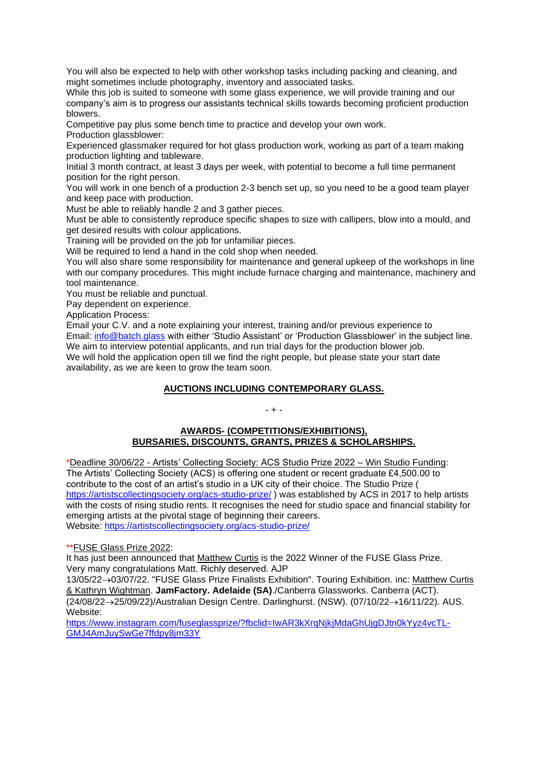You will also be expected to help with other workshop tasks including packing and cleaning, and might sometimes include photography, inventory and associated tasks.

While this job is suited to someone with some glass experience, we will provide training and our company's aim is to progress our assistants technical skills towards becoming proficient production blowers.

Competitive pay plus some bench time to practice and develop your own work.

Production glassblower:

Experienced glassmaker required for hot glass production work, working as part of a team making production lighting and tableware.

Initial 3 month contract, at least 3 days per week, with potential to become a full time permanent position for the right person.

You will work in one bench of a production 2-3 bench set up, so you need to be a good team player and keep pace with production.

Must be able to reliably handle 2 and 3 gather pieces.

Must be able to consistently reproduce specific shapes to size with callipers, blow into a mould, and get desired results with colour applications.

Training will be provided on the job for unfamiliar pieces.

Will be required to lend a hand in the cold shop when needed.

You will also share some responsibility for maintenance and general upkeep of the workshops in line with our company procedures. This might include furnace charging and maintenance, machinery and tool maintenance.

You must be reliable and punctual.

Pay dependent on experience.

Application Process:

Email your C.V. and a note explaining your interest, training and/or previous experience to Email: [info@batch.glass](mailto:info@batch.glass) with either 'Studio Assistant' or 'Production Glassblower' in the subject line. We aim to interview potential applicants, and run trial days for the production blower job. We will hold the application open till we find the right people, but please state your start date availability, as we are keen to grow the team soon.

## **AUCTIONS INCLUDING CONTEMPORARY GLASS.**

## - + -

#### **AWARDS- (COMPETITIONS/EXHIBITIONS), BURSARIES, DISCOUNTS, GRANTS, PRIZES & SCHOLARSHIPS.**

\*Deadline 30/06/22 - Artists' Collecting Society: ACS Studio Prize 2022 – Win Studio Funding: The Artists' Collecting Society (ACS) is offering one student or recent graduate £4,500.00 to contribute to the cost of an artist's studio in a UK city of their choice. The [Studio Prize](https://suffolk.us10.list-manage.com/track/click?u=2f98ac64432b62bd227a5ba11&id=b5ecb89de6&e=6becaf6737) ( <https://artistscollectingsociety.org/acs-studio-prize/> ) was established by ACS in 2017 to help artists with the costs of rising studio rents. It recognises the need for studio space and financial stability for emerging artists at the pivotal stage of beginning their careers. Website:<https://artistscollectingsociety.org/acs-studio-prize/>

\*\*FUSE Glass Prize 2022:

It has just been announced that Matthew Curtis is the 2022 Winner of the FUSE Glass Prize. Very many congratulations Matt. Richly deserved. AJP

13/05/22→03/07/22. "FUSE Glass Prize Finalists Exhibition". Touring Exhibition. inc: Matthew Curtis & Kathryn Wightman. **JamFactory. Adelaide (SA)**./Canberra Glassworks. Canberra (ACT). (24/08/22→25/09/22)/Australian Design Centre. Darlinghurst. (NSW). (07/10/22→16/11/22). AUS. Website:

[https://www.instagram.com/fuseglassprize/?fbclid=IwAR3kXrqNjkjMdaGhUjgDJtn0kYyz4vcTL-](https://www.instagram.com/fuseglassprize/?fbclid=IwAR3kXrqNjkjMdaGhUjgDJtn0kYyz4vcTL-GMJ4AmJuySwGe7ffdpy8jm33Y)[GMJ4AmJuySwGe7ffdpy8jm33Y](https://www.instagram.com/fuseglassprize/?fbclid=IwAR3kXrqNjkjMdaGhUjgDJtn0kYyz4vcTL-GMJ4AmJuySwGe7ffdpy8jm33Y)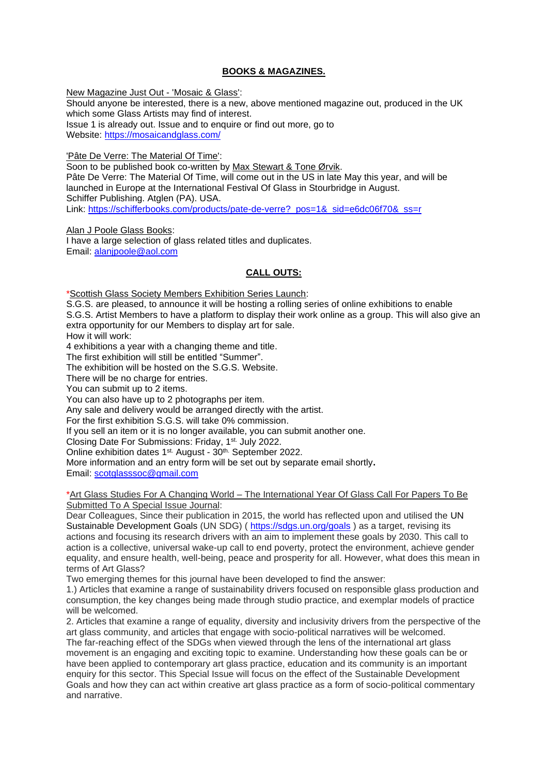## **BOOKS & MAGAZINES.**

New Magazine Just Out - 'Mosaic & Glass': Should anyone be interested, there is a new, above mentioned magazine out, produced in the UK which some Glass Artists may find of interest. Issue 1 is already out. Issue and to enquire or find out more, go to Website:<https://mosaicandglass.com/>

'Pâte De Verre: The Material Of Time':

Soon to be published book co-written by Max Stewart & Tone Ørvik. Pâte De Verre: The Material Of Time, will come out in the US in late May this year, and will be launched in Europe at the International Festival Of Glass in Stourbridge in August. Schiffer Publishing. Atglen (PA). USA. Link: [https://schifferbooks.com/products/pate-de-verre?\\_pos=1&\\_sid=e6dc06f70&\\_ss=r](https://schifferbooks.com/products/pate-de-verre?_pos=1&_sid=e6dc06f70&_ss=r)

Alan J Poole Glass Books: I have a large selection of glass related titles and duplicates. Email: [alanjpoole@aol.com](mailto:alanjpoole@aol.com)

## **CALL OUTS:**

\*Scottish Glass Society Members Exhibition Series Launch:

S.G.S. are pleased, to announce it will be hosting a rolling series of online exhibitions to enable S.G.S. Artist Members to have a platform to display their work online as a group. This will also give an extra opportunity for our Members to display art for sale.

How it will work:

4 exhibitions a year with a changing theme and title.

The first exhibition will still be entitled "Summer".

The exhibition will be hosted on the S.G.S. Website.

There will be no charge for entries.

You can submit up to 2 items.

You can also have up to 2 photographs per item.

Any sale and delivery would be arranged directly with the artist.

For the first exhibition S.G.S. will take 0% commission.

If you sell an item or it is no longer available, you can submit another one.

Closing Date For Submissions: Friday, 1st. July 2022.

Online exhibition dates 1<sup>st.</sup> August - 30<sup>th.</sup> September 2022.

More information and an entry form will be set out by separate email shortly**.** Email: [scotglasssoc@gmail.com](mailto:scotglasssoc@gmail.com)

\*Art Glass Studies For A Changing World – The International Year Of Glass Call For Papers To Be Submitted To A Special Issue Journal:

Dear Colleagues, Since their publication in 2015, the world has reflected upon and utilised the [UN](https://sdgs.un.org/goals)  [Sustainable Development Goals](https://sdgs.un.org/goals) (UN SDG) (<https://sdgs.un.org/goals> ) as a target, revising its actions and focusing its research drivers with an aim to implement these goals by 2030. This call to action is a collective, universal wake-up call to end poverty, protect the environment, achieve gender equality, and ensure health, well-being, peace and prosperity for all. However, what does this mean in terms of Art Glass?

Two emerging themes for this journal have been developed to find the answer:

1.) Articles that examine a range of sustainability drivers focused on responsible glass production and consumption, the key changes being made through studio practice, and exemplar models of practice will be welcomed.

2. Articles that examine a range of equality, diversity and inclusivity drivers from the perspective of the art glass community, and articles that engage with socio-political narratives will be welcomed. The far-reaching effect of the SDGs when viewed through the lens of the international art glass movement is an engaging and exciting topic to examine. Understanding how these goals can be or have been applied to contemporary art glass practice, education and its community is an important enquiry for this sector. This Special Issue will focus on the effect of the Sustainable Development Goals and how they can act within creative art glass practice as a form of socio-political commentary and narrative.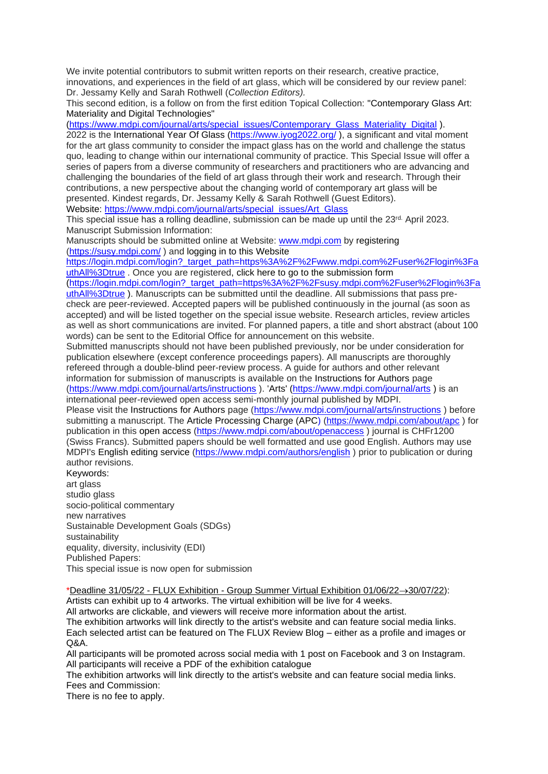We invite potential contributors to submit written reports on their research, creative practice, innovations, and experiences in the field of art glass, which will be considered by our review panel: Dr. Jessamy Kelly and Sarah Rothwell (*Collection Editors).*

This second edition, is a follow on from the first edition Topical Collection: ["Contemporary Glass Art:](https://www.mdpi.com/journal/arts/special_issues/Contemporary_Glass_Materiality_Digital)  [Materiality and Digital Technologies"](https://www.mdpi.com/journal/arts/special_issues/Contemporary_Glass_Materiality_Digital)

[\(https://www.mdpi.com/journal/arts/special\\_issues/Contemporary\\_Glass\\_Materiality\\_Digital](https://www.mdpi.com/journal/arts/special_issues/Contemporary_Glass_Materiality_Digital) ).

2022 is the [International Year Of Glass](https://www.iyog2022.org/) [\(https://www.iyog2022.org/](https://www.iyog2022.org/)), a significant and vital moment for the art glass community to consider the impact glass has on the world and challenge the status quo, leading to change within our international community of practice. This Special Issue will offer a series of papers from a diverse community of researchers and practitioners who are advancing and challenging the boundaries of the field of art glass through their work and research. Through their contributions, a new perspective about the changing world of contemporary art glass will be presented. Kindest regards, Dr. Jessamy Kelly & Sarah Rothwell (Guest Editors).

Website: [https://www.mdpi.com/journal/arts/special\\_issues/Art\\_Glass](https://www.mdpi.com/journal/arts/special_issues/Art_Glass)

This special issue has a rolling deadline, submission can be made up until the 23rd. April 2023. Manuscript Submission Information:

Manuscripts should be submitted online at Website: [www.mdpi.com](https://www.mdpi.com/) by [registering](https://www.mdpi.com/user/register/) [\(https://susy.mdpi.com/](https://susy.mdpi.com/) ) and [logging in to this Website](https://www.mdpi.com/user/login/)

[https://login.mdpi.com/login?\\_target\\_path=https%3A%2F%2Fwww.mdpi.com%2Fuser%2Flogin%3Fa](https://login.mdpi.com/login?_target_path=https%3A%2F%2Fwww.mdpi.com%2Fuser%2Flogin%3FauthAll%3Dtrue) [uthAll%3Dtrue](https://login.mdpi.com/login?_target_path=https%3A%2F%2Fwww.mdpi.com%2Fuser%2Flogin%3FauthAll%3Dtrue) . Once you are registered, [click here to go to the submission form](https://susy.mdpi.com/user/manuscripts/upload/?journal=arts)

[\(https://login.mdpi.com/login?\\_target\\_path=https%3A%2F%2Fsusy.mdpi.com%2Fuser%2Flogin%3Fa](https://login.mdpi.com/login?_target_path=https%3A%2F%2Fsusy.mdpi.com%2Fuser%2Flogin%3FauthAll%3Dtrue) [uthAll%3Dtrue](https://login.mdpi.com/login?_target_path=https%3A%2F%2Fsusy.mdpi.com%2Fuser%2Flogin%3FauthAll%3Dtrue) ). Manuscripts can be submitted until the deadline. All submissions that pass precheck are peer-reviewed. Accepted papers will be published continuously in the journal (as soon as accepted) and will be listed together on the special issue website. Research articles, review articles as well as short communications are invited. For planned papers, a title and short abstract (about 100 words) can be sent to the Editorial Office for announcement on this website.

Submitted manuscripts should not have been published previously, nor be under consideration for publication elsewhere (except conference proceedings papers). All manuscripts are thoroughly refereed through a double-blind peer-review process. A guide for authors and other relevant information for submission of manuscripts is available on the [Instructions for Authors](https://www.mdpi.com/journal/arts/instructions) page [\(https://www.mdpi.com/journal/arts/instructions](https://www.mdpi.com/journal/arts/instructions) ). ['Arts'](https://www.mdpi.com/journal/arts/) [\(https://www.mdpi.com/journal/arts](https://www.mdpi.com/journal/arts) ) is an international peer-reviewed open access semi-monthly journal published by MDPI.

Please visit the [Instructions for Authors](https://www.mdpi.com/journal/arts/instructions) page [\(https://www.mdpi.com/journal/arts/instructions](https://www.mdpi.com/journal/arts/instructions) ) before submitting a manuscript. The [Article Processing Charge \(APC\)](https://www.mdpi.com/about/apc/) [\(https://www.mdpi.com/about/apc](https://www.mdpi.com/about/apc) ) for publication in this [open access](https://www.mdpi.com/about/openaccess/) [\(https://www.mdpi.com/about/openaccess](https://www.mdpi.com/about/openaccess) ) journal is CHFr1200 (Swiss Francs). Submitted papers should be well formatted and use good English. Authors may use MDPI's [English editing service](https://www.mdpi.com/authors/english) [\(https://www.mdpi.com/authors/english](https://www.mdpi.com/authors/english) ) prior to publication or during author revisions.

Keywords: art glass studio glass socio-political commentary new narratives Sustainable Development Goals (SDGs) sustainability equality, diversity, inclusivity (EDI) Published Papers: This special issue is now open for submission

\*Deadline 31/05/22 - FLUX Exhibition - Group Summer Virtual Exhibition 01/06/22→30/07/22):

Artists can exhibit up to 4 artworks. The virtual exhibition will be live for 4 weeks.

All artworks are clickable, and viewers will receive more information about the artist.

The exhibition artworks will link directly to the artist's website and can feature social media links. Each selected artist can be featured on The FLUX Review Blog – either as a profile and images or  $O\&A$ 

All participants will be promoted across social media with 1 post on Facebook and 3 on Instagram. All participants will receive a PDF of the exhibition catalogue

The exhibition artworks will link directly to the artist's website and can feature social media links. Fees and Commission:

There is no fee to apply.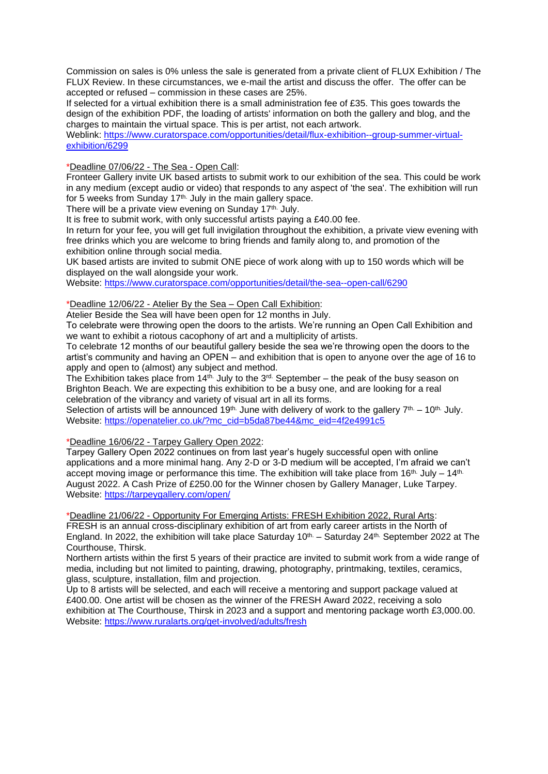Commission on sales is 0% unless the sale is generated from a private client of FLUX Exhibition / The FLUX Review. In these circumstances, we e-mail the artist and discuss the offer. The offer can be accepted or refused – commission in these cases are 25%.

If selected for a virtual exhibition there is a small administration fee of £35. This goes towards the design of the exhibition PDF, the loading of artists' information on both the gallery and blog, and the charges to maintain the virtual space. This is per artist, not each artwork.

Weblink: [https://www.curatorspace.com/opportunities/detail/flux-exhibition--group-summer-virtual](https://www.curatorspace.com/opportunities/detail/flux-exhibition--group-summer-virtual-exhibition/6299)[exhibition/6299](https://www.curatorspace.com/opportunities/detail/flux-exhibition--group-summer-virtual-exhibition/6299)

## \*Deadline 07/06/22 - The Sea - Open Call:

Fronteer Gallery invite UK based artists to submit work to our exhibition of the sea. This could be work in any medium (except audio or video) that responds to any aspect of 'the sea'. The exhibition will run for 5 weeks from Sunday  $17<sup>th</sup>$ . July in the main gallery space.

There will be a private view evening on Sunday 17<sup>th.</sup> July.

It is free to submit work, with only successful artists paying a £40.00 fee.

In return for your fee, you will get full invigilation throughout the exhibition, a private view evening with free drinks which you are welcome to bring friends and family along to, and promotion of the exhibition online through social media.

UK based artists are invited to submit ONE piece of work along with up to 150 words which will be displayed on the wall alongside your work.

Website:<https://www.curatorspace.com/opportunities/detail/the-sea--open-call/6290>

## \*Deadline 12/06/22 - Atelier By the Sea – Open Call Exhibition:

Atelier Beside the Sea will have been open for 12 months in July.

To celebrate were throwing open the doors to the artists. We're running an Open Call Exhibition and we want to exhibit a riotous cacophony of art and a multiplicity of artists.

To celebrate 12 months of our beautiful gallery beside the sea we're throwing open the doors to the artist's community and having an OPEN – and exhibition that is open to anyone over the age of 16 to apply and open to (almost) any subject and method.

The Exhibition takes place from 14th. July to the 3rd. September – the peak of the busy season on Brighton Beach. We are expecting this exhibition to be a busy one, and are looking for a real celebration of the vibrancy and variety of visual art in all its forms.

Selection of artists will be announced 19<sup>th.</sup> June with delivery of work to the gallery 7<sup>th.</sup> – 10<sup>th.</sup> July. Website: [https://openatelier.co.uk/?mc\\_cid=b5da87be44&mc\\_eid=4f2e4991c5](https://openatelier.co.uk/?mc_cid=b5da87be44&mc_eid=4f2e4991c5)

\*Deadline 16/06/22 - Tarpey Gallery Open 2022:

Tarpey Gallery Open 2022 continues on from last year's hugely successful open with online applications and a more minimal hang. Any 2-D or 3-D medium will be accepted, I'm afraid we can't accept moving image or performance this time. The exhibition will take place from 16<sup>th.</sup> July – 14<sup>th.</sup> August 2022. A Cash Prize of £250.00 for the Winner chosen by Gallery Manager, Luke Tarpey. Website:<https://tarpeygallery.com/open/>

\*Deadline 21/06/22 - Opportunity For Emerging Artists: FRESH Exhibition 2022, Rural Arts: FRESH is an annual cross-disciplinary exhibition of art from early career artists in the North of England. In 2022, the exhibition will take place Saturday  $10^{th}$  – Saturday 24<sup>th.</sup> September 2022 at The Courthouse, Thirsk.

Northern artists within the first 5 years of their practice are invited to submit work from a wide range of media, including but not limited to painting, drawing, photography, printmaking, textiles, ceramics, glass, sculpture, installation, film and projection.

Up to 8 artists will be selected, and each will receive a mentoring and support package valued at £400.00. One artist will be chosen as the winner of the FRESH Award 2022, receiving a solo exhibition at The Courthouse, Thirsk in 2023 and a support and mentoring package worth £3,000.00. Website:<https://www.ruralarts.org/get-involved/adults/fresh>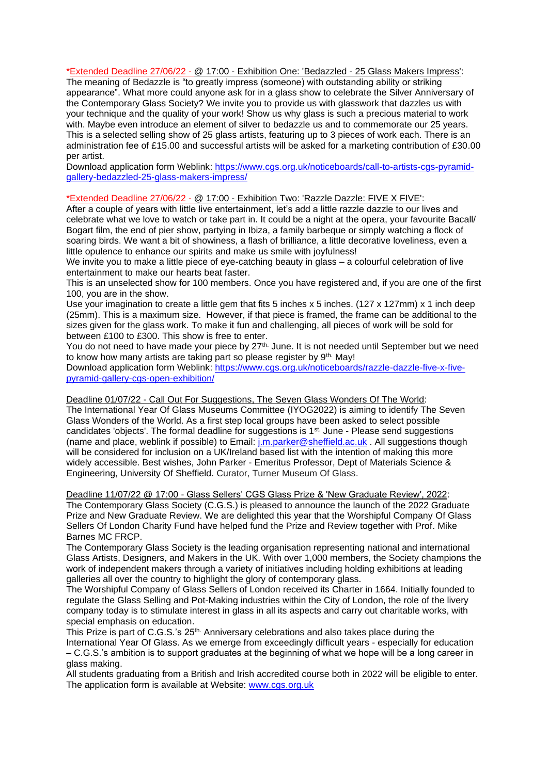\*Extended Deadline 27/06/22 - @ 17:00 - Exhibition One: 'Bedazzled - 25 Glass Makers Impress': The meaning of Bedazzle is "to greatly impress (someone) with outstanding ability or striking appearance". What more could anyone ask for in a glass show to celebrate the Silver Anniversary of the Contemporary Glass Society? We invite you to provide us with glasswork that dazzles us with your technique and the quality of your work! Show us why glass is such a precious material to work with. Maybe even introduce an element of silver to bedazzle us and to commemorate our 25 years. This is a selected selling show of 25 glass artists, featuring up to 3 pieces of work each. There is an administration fee of £15.00 and successful artists will be asked for a marketing contribution of £30.00 per artist.

Download application form Weblink: [https://www.cgs.org.uk/noticeboards/call-to-artists-cgs-pyramid](https://www.cgs.org.uk/noticeboards/call-to-artists-cgs-pyramid-gallery-bedazzled-25-glass-makers-impress/)[gallery-bedazzled-25-glass-makers-impress/](https://www.cgs.org.uk/noticeboards/call-to-artists-cgs-pyramid-gallery-bedazzled-25-glass-makers-impress/)

#### \*Extended Deadline 27/06/22 - @ 17:00 - Exhibition Two: 'Razzle Dazzle: FIVE X FIVE':

After a couple of years with little live entertainment, let's add a little razzle dazzle to our lives and celebrate what we love to watch or take part in. It could be a night at the opera, your favourite Bacall/ Bogart film, the end of pier show, partying in Ibiza, a family barbeque or simply watching a flock of soaring birds. We want a bit of showiness, a flash of brilliance, a little decorative loveliness, even a little opulence to enhance our spirits and make us smile with joyfulness!

We invite you to make a little piece of eye-catching beauty in glass – a colourful celebration of live entertainment to make our hearts beat faster.

This is an unselected show for 100 members. Once you have registered and, if you are one of the first 100, you are in the show.

Use your imagination to create a little gem that fits 5 inches x 5 inches. (127 x 127mm) x 1 inch deep (25mm). This is a maximum size. However, if that piece is framed, the frame can be additional to the sizes given for the glass work. To make it fun and challenging, all pieces of work will be sold for between £100 to £300. This show is free to enter.

You do not need to have made your piece by 27<sup>th.</sup> June. It is not needed until September but we need to know how many artists are taking part so please register by 9<sup>th.</sup> May!

Download application form Weblink: [https://www.cgs.org.uk/noticeboards/razzle-dazzle-five-x-five](https://www.cgs.org.uk/noticeboards/razzle-dazzle-five-x-five-pyramid-gallery-cgs-open-exhibition/)[pyramid-gallery-cgs-open-exhibition/](https://www.cgs.org.uk/noticeboards/razzle-dazzle-five-x-five-pyramid-gallery-cgs-open-exhibition/)

Deadline 01/07/22 - Call Out For Suggestions, The Seven Glass Wonders Of The World: The International Year Of Glass Museums Committee (IYOG2022) is aiming to identify The Seven Glass Wonders of the World. As a first step local groups have been asked to select possible candidates 'objects'. The formal deadline for suggestions is 1st. June - Please send suggestions (name and place, weblink if possible) to Email: [j.m.parker@sheffield.ac.uk](mailto:j.m.parker@sheffield.ac.uk) . All suggestions though will be considered for inclusion on a UK/Ireland based list with the intention of making this more widely accessible. Best wishes, John Parker - Emeritus Professor, Dept of Materials Science & Engineering, University Of Sheffield. Curator, Turner Museum Of Glass.

Deadline 11/07/22 @ 17:00 - Glass Sellers' CGS Glass Prize & 'New Graduate Review', 2022: The Contemporary Glass Society (C.G.S.) is pleased to announce the launch of the 2022 Graduate Prize and New Graduate Review. We are delighted this year that the Worshipful Company Of Glass Sellers Of London Charity Fund have helped fund the Prize and Review together with Prof. Mike Barnes MC FRCP.

The Contemporary Glass Society is the leading organisation representing national and international Glass Artists, Designers, and Makers in the UK. With over 1,000 members, the Society champions the work of independent makers through a variety of initiatives including holding exhibitions at leading galleries all over the country to highlight the glory of contemporary glass.

The Worshipful Company of Glass Sellers of London received its Charter in 1664. Initially founded to regulate the Glass Selling and Pot-Making industries within the City of London, the role of the livery company today is to stimulate interest in glass in all its aspects and carry out charitable works, with special emphasis on education.

This Prize is part of C.G.S.'s 25th. Anniversary celebrations and also takes place during the International Year Of Glass. As we emerge from exceedingly difficult years - especially for education – C.G.S.'s ambition is to support graduates at the beginning of what we hope will be a long career in glass making.

All students graduating from a British and Irish accredited course both in 2022 will be eligible to enter. The application form is available at Website: [www.cgs.org.uk](http://www.cgs.org.uk/)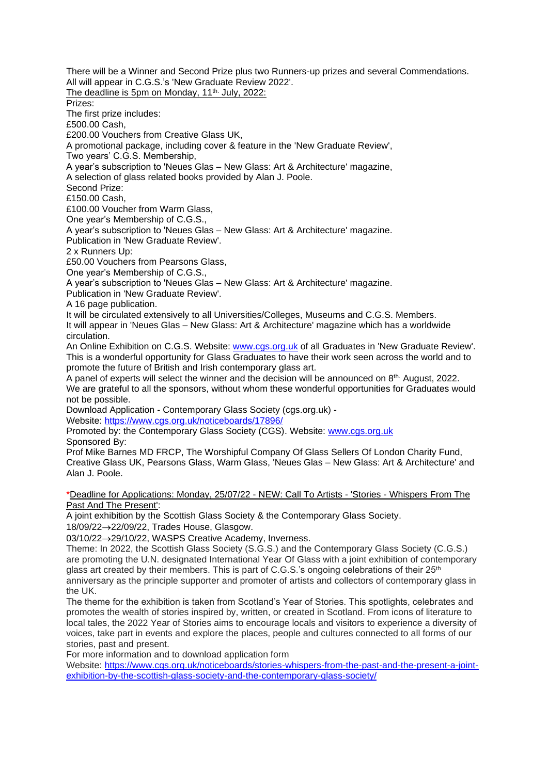There will be a Winner and Second Prize plus two Runners-up prizes and several Commendations. All will appear in C.G.S.'s 'New Graduate Review 2022'. The deadline is 5pm on Monday, 11<sup>th.</sup> July, 2022: Prizes: The first prize includes: £500.00 Cash, £200.00 Vouchers from Creative Glass UK, A promotional package, including cover & feature in the 'New Graduate Review', Two years' C.G.S. Membership, A year's subscription to 'Neues Glas – New Glass: Art & Architecture' magazine, A selection of glass related books provided by Alan J. Poole. Second Prize: £150.00 Cash, £100.00 Voucher from Warm Glass, One year's Membership of C.G.S., A year's subscription to 'Neues Glas – New Glass: Art & Architecture' magazine. Publication in 'New Graduate Review'. 2 x Runners Up: £50.00 Vouchers from Pearsons Glass, One year's Membership of C.G.S., A year's subscription to 'Neues Glas – New Glass: Art & Architecture' magazine. Publication in 'New Graduate Review'. A 16 page publication. It will be circulated extensively to all Universities/Colleges, Museums and C.G.S. Members. It will appear in 'Neues Glas – New Glass: Art & Architecture' magazine which has a worldwide circulation. An Online Exhibition on C.G.S. Website: [www.cgs.org.uk](http://www.cgs.org.uk/) of all Graduates in 'New Graduate Review'. This is a wonderful opportunity for Glass Graduates to have their work seen across the world and to promote the future of British and Irish contemporary glass art. A panel of experts will select the winner and the decision will be announced on 8th. August, 2022. We are grateful to all the sponsors, without whom these wonderful opportunities for Graduates would not be possible. Download Application - [Contemporary Glass Society \(cgs.org.uk\)](https://www.cgs.org.uk/noticeboards/17896/) - Website:<https://www.cgs.org.uk/noticeboards/17896/> Promoted by: the Contemporary Glass Society (CGS). Website: [www.cgs.org.uk](http://www.cgs.org.uk/) Sponsored By: Prof Mike Barnes MD FRCP, The Worshipful Company Of Glass Sellers Of London Charity Fund, Creative Glass UK, Pearsons Glass, Warm Glass, 'Neues Glas – New Glass: Art & Architecture' and Alan J. Poole. \*Deadline for Applications: Monday, 25/07/22 - NEW: Call To Artists - 'Stories - Whispers From The Past And The Present': A joint exhibition by the Scottish Glass Society & the Contemporary Glass Society. 18/09/22→22/09/22, Trades House, Glasgow. 03/10/22→29/10/22, WASPS Creative Academy, Inverness. Theme: In 2022, the Scottish Glass Society (S.G.S.) and the Contemporary Glass Society (C.G.S.) are promoting the U.N. designated International Year Of Glass with a joint exhibition of contemporary

glass art created by their members. This is part of C.G.S.'s ongoing celebrations of their  $25<sup>th</sup>$ anniversary as the principle supporter and promoter of artists and collectors of contemporary glass in the  $I\,$ 

The theme for the exhibition is taken from Scotland's Year of Stories. This spotlights, celebrates and promotes the wealth of stories inspired by, written, or created in Scotland. From icons of literature to local tales, the 2022 Year of Stories aims to encourage locals and visitors to experience a diversity of voices, take part in events and explore the places, people and cultures connected to all forms of our stories, past and present.

For more information and to download application form

Website: [https://www.cgs.org.uk/noticeboards/stories-whispers-from-the-past-and-the-present-a-joint](https://www.cgs.org.uk/noticeboards/stories-whispers-from-the-past-and-the-present-a-joint-exhibition-by-the-scottish-glass-society-and-the-contemporary-glass-society/)[exhibition-by-the-scottish-glass-society-and-the-contemporary-glass-society/](https://www.cgs.org.uk/noticeboards/stories-whispers-from-the-past-and-the-present-a-joint-exhibition-by-the-scottish-glass-society-and-the-contemporary-glass-society/)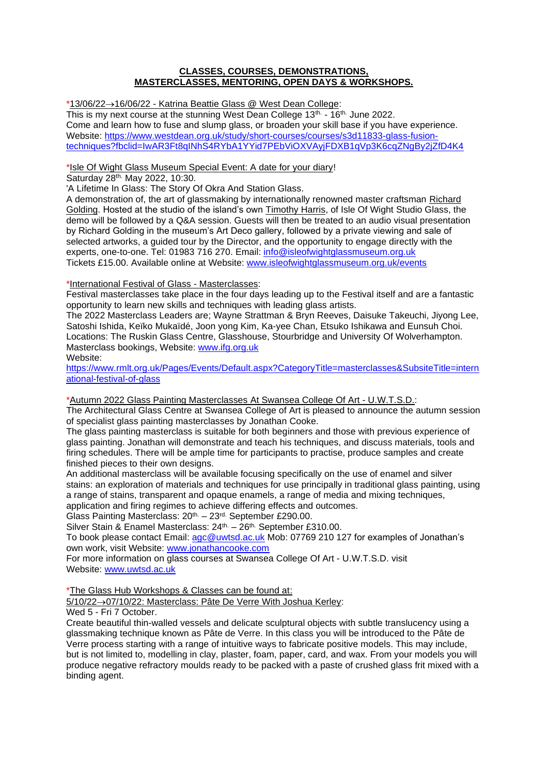## **CLASSES, COURSES, DEMONSTRATIONS, MASTERCLASSES, MENTORING, OPEN DAYS & WORKSHOPS.**

\*13/06/22→16/06/22 - Katrina Beattie Glass @ West Dean College:

This is my next course at the stunning West Dean College 13<sup>th.</sup> - 16<sup>th.</sup> June 2022. Come and learn how to fuse and slump glass, or broaden your skill base if you have experience. <Website:> [https://www.westdean.org.uk/study/short-courses/courses/s3d11833-glass-fusion](https://www.westdean.org.uk/study/short-courses/courses/s3d11833-glass-fusion-techniques?fbclid=IwAR3Ft8qINhS4RYbA1YYid7PEbViOXVAyjFDXB1qVp3K6cqZNgBy2jZfD4K4)[techniques?fbclid=IwAR3Ft8qINhS4RYbA1YYid7PEbViOXVAyjFDXB1qVp3K6cqZNgBy2jZfD4K4](https://www.westdean.org.uk/study/short-courses/courses/s3d11833-glass-fusion-techniques?fbclid=IwAR3Ft8qINhS4RYbA1YYid7PEbViOXVAyjFDXB1qVp3K6cqZNgBy2jZfD4K4)

\*Isle Of Wight Glass Museum Special Event: A date for your diary!

Saturday 28th. May 2022, 10:30.

'A Lifetime In Glass: The Story Of Okra And Station Glass.

A demonstration of, the art of glassmaking by internationally renowned master craftsman Richard Golding. Hosted at the studio of the island's own Timothy Harris, of Isle Of Wight Studio Glass, the demo will be followed by a Q&A session. Guests will then be treated to an audio visual presentation by Richard Golding in the museum's Art Deco gallery, followed by a private viewing and sale of selected artworks, a guided tour by the Director, and the opportunity to engage directly with the experts, one-to-one. Tel: 01983 716 270. Email: [info@isleofwightglassmuseum.org.uk](mailto:info@isleofwightglassmuseum.org.uk) Tickets £15.00. Available online at Website: [www.isleofwightglassmuseum.org.uk/events](http://www.isleofwightglassmuseum.org.uk/events)

## \*International Festival of Glass - Masterclasses:

Festival masterclasses take place in the four days leading up to the Festival itself and are a fantastic opportunity to learn new skills and techniques with leading glass artists.

The 2022 Masterclass Leaders are; Wayne Strattman & Bryn Reeves, Daisuke Takeuchi, Jiyong Lee, Satoshi Ishida, Keïko Mukaïdé, Joon yong Kim, Ka-yee Chan, Etsuko Ishikawa and Eunsuh Choi. Locations: The Ruskin Glass Centre, Glasshouse, Stourbridge and University Of Wolverhampton. Masterclass bookings, Website: [www.ifg.org.uk](http://www.ifg.org.uk/) Website:

[https://www.rmlt.org.uk/Pages/Events/Default.aspx?CategoryTitle=masterclasses&SubsiteTitle=intern](https://www.rmlt.org.uk/Pages/Events/Default.aspx?CategoryTitle=masterclasses&SubsiteTitle=international-festival-of-glass) [ational-festival-of-glass](https://www.rmlt.org.uk/Pages/Events/Default.aspx?CategoryTitle=masterclasses&SubsiteTitle=international-festival-of-glass)

\*Autumn 2022 Glass Painting Masterclasses At Swansea College Of Art - U.W.T.S.D.:

The Architectural Glass Centre at Swansea College of Art is pleased to announce the autumn session of specialist glass painting masterclasses by Jonathan Cooke.

The glass painting masterclass is suitable for both beginners and those with previous experience of glass painting. Jonathan will demonstrate and teach his techniques, and discuss materials, tools and firing schedules. There will be ample time for participants to practise, produce samples and create finished pieces to their own designs.

An additional masterclass will be available focusing specifically on the use of enamel and silver stains: an exploration of materials and techniques for use principally in traditional glass painting, using a range of stains, transparent and opaque enamels, a range of media and mixing techniques, application and firing regimes to achieve differing effects and outcomes.

Glass Painting Masterclass: 20<sup>th.</sup> - 23<sup>rd.</sup> September £290.00.

Silver Stain & Enamel Masterclass: 24<sup>th.</sup> – 26<sup>th.</sup> September £310.00.

To book please contact Email: [agc@uwtsd.ac.uk](mailto:agc@uwtsd.ac.uk) Mob: 07769 210 127 for examples of Jonathan's own work, visit Website: [www.jonathancooke.com](https://eur01.safelinks.protection.outlook.com/?url=http%3A%2F%2Fwww.jonathancooke.com%2F&data=05%7C01%7Cowen.luetchford%40uwtsd.ac.uk%7C69f563bb3c8d4899456e08da2ec9a84c%7C4e0f11f9046e45059cb8db2152311e21%7C0%7C0%7C637873740897477997%7CUnknown%7CTWFpbGZsb3d8eyJWIjoiMC4wLjAwMDAiLCJQIjoiV2luMzIiLCJBTiI6Ik1haWwiLCJXVCI6Mn0%3D%7C3000%7C%7C%7C&sdata=SzR0Q51P3%2BcRmErdvLJlUPi2oBkjNArsFZ9KErG4m2U%3D&reserved=0)

For more information on glass courses at Swansea College Of Art - U.W.T.S.D. visit Website: [www.uwtsd.ac.uk](http://www.uwtsd.ac.uk/)

\*The Glass Hub Workshops & Classes can be found at:

5/10/22→07/10/22: Masterclass: Pâte De Verre With Joshua Kerley:

Wed 5 - Fri 7 October.

Create beautiful thin-walled vessels and delicate sculptural objects with subtle translucency using a glassmaking technique known as Pâte de Verre. In this class you will be introduced to the Pâte de Verre process starting with a range of intuitive ways to fabricate positive models. This may include, but is not limited to, modelling in clay, plaster, foam, paper, card, and wax. From your models you will produce negative refractory moulds ready to be packed with a paste of crushed glass frit mixed with a binding agent.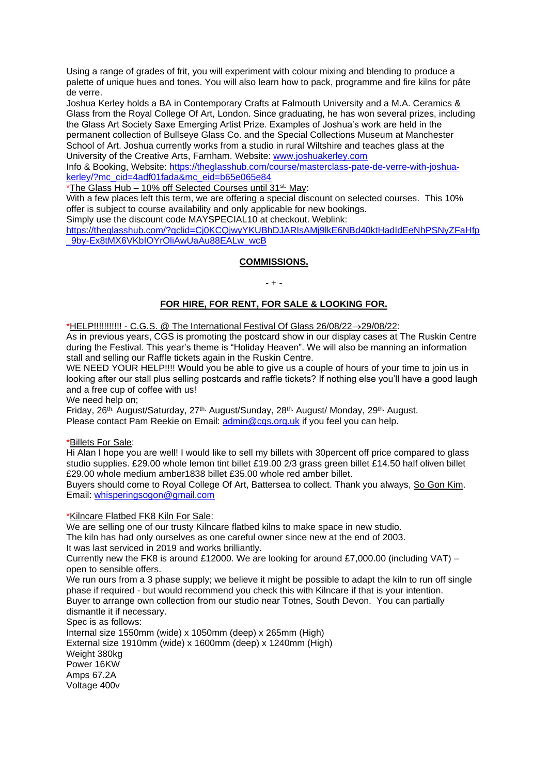Using a range of grades of frit, you will experiment with colour mixing and blending to produce a palette of unique hues and tones. You will also learn how to pack, programme and fire kilns for pâte de verre.

Joshua Kerley holds a BA in Contemporary Crafts at Falmouth University and a M.A. Ceramics & Glass from the Royal College Of Art, London. Since graduating, he has won several prizes, including the Glass Art Society Saxe Emerging Artist Prize. Examples of Joshua's work are held in the permanent collection of Bullseye Glass Co. and the Special Collections Museum at Manchester School of Art. Joshua currently works from a studio in rural Wiltshire and teaches glass at the University of the Creative Arts, Farnham. Website: [www.joshuakerley.com](http://www.joshuakerley.com/)

Info & Booking, Website: [https://theglasshub.com/course/masterclass-pate-de-verre-with-joshua](https://theglasshub.com/course/masterclass-pate-de-verre-with-joshua-kerley/?mc_cid=4adf01fada&mc_eid=b65e065e84)[kerley/?mc\\_cid=4adf01fada&mc\\_eid=b65e065e84](https://theglasshub.com/course/masterclass-pate-de-verre-with-joshua-kerley/?mc_cid=4adf01fada&mc_eid=b65e065e84)

\*The Glass Hub – 10% off Selected Courses until 31st. May:

With a few places left this term, we are offering a special discount on selected courses. This 10% offer is subject to course availability and only applicable for new bookings.

Simply use the discount code MAYSPECIAL10 at checkout. Weblink:

[https://theglasshub.com/?gclid=Cj0KCQjwyYKUBhDJARIsAMj9lkE6NBd40ktHadIdEeNhPSNyZFaHfp](https://theglasshub.com/?gclid=Cj0KCQjwyYKUBhDJARIsAMj9lkE6NBd40ktHadIdEeNhPSNyZFaHfp_9by-Ex8tMX6VKbIOYrOliAwUaAu88EALw_wcB) 9by-Ex8tMX6VKbIOYrOliAwUaAu88EALw\_wcB

## **COMMISSIONS.**

#### $- + -$

## **FOR HIRE, FOR RENT, FOR SALE & LOOKING FOR.**

\*HELP!!!!!!!!!!! - C.G.S. @ The International Festival Of Glass 26/08/22→29/08/22:

As in previous years, CGS is promoting the postcard show in our display cases at The Ruskin Centre during the Festival. This year's theme is "Holiday Heaven". We will also be manning an information stall and selling our Raffle tickets again in the Ruskin Centre.

WE NEED YOUR HELP!!!! Would you be able to give us a couple of hours of your time to join us in looking after our stall plus selling postcards and raffle tickets? If nothing else you'll have a good laugh and a free cup of coffee with us!

We need help on:

Friday, 26th. August/Saturday, 27th. August/Sunday, 28th. August/ Monday, 29th. August. Please contact Pam Reekie on Email: [admin@cgs.org.uk](mailto:admin@cgs.org.uk) if you feel you can help.

#### \*Billets For Sale:

Hi Alan I hope you are well! I would like to sell my billets with 30percent off price compared to glass studio supplies. £29.00 whole lemon tint billet £19.00 2/3 grass green billet £14.50 half oliven billet £29.00 whole medium amber1838 billet £35.00 whole red amber billet.

Buyers should come to Royal College Of Art, Battersea to collect. Thank you always, So Gon Kim. Email: [whisperingsogon@gmail.com](mailto:whisperingsogon@gmail.com)

#### \*Kilncare Flatbed FK8 Kiln For Sale:

We are selling one of our trusty Kilncare flatbed kilns to make space in new studio.

The kiln has had only ourselves as one careful owner since new at the end of 2003. It was last serviced in 2019 and works brilliantly.

Currently new the FK8 is around £12000. We are looking for around £7,000.00 (including VAT) – open to sensible offers.

We run ours from a 3 phase supply; we believe it might be possible to adapt the kiln to run off single phase if required - but would recommend you check this with Kilncare if that is your intention. Buyer to arrange own collection from our studio near Totnes, South Devon. You can partially dismantle it if necessary. Spec is as follows: Internal size 1550mm (wide) x 1050mm (deep) x 265mm (High) External size 1910mm (wide) x 1600mm (deep) x 1240mm (High) Weight 380kg Power 16KW Amps 67.2A

Voltage 400v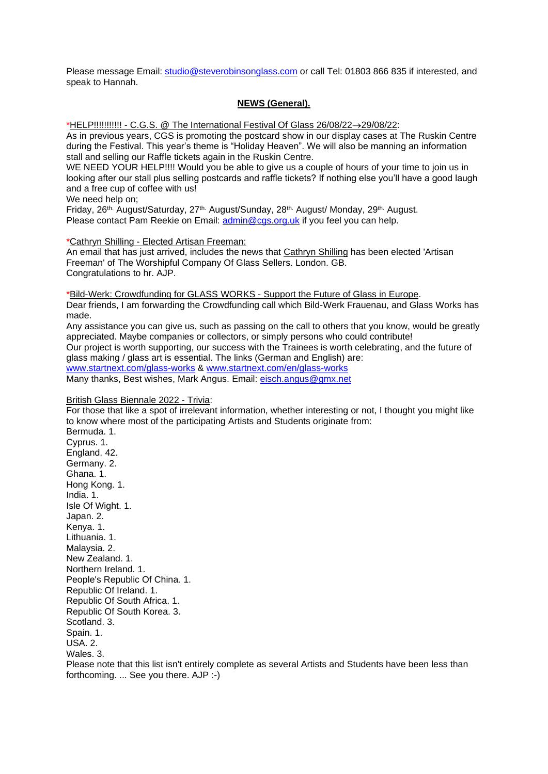Please message Email: [studio@steverobinsonglass.com](mailto:studio@steverobinsonglass.com) or call Tel: 01803 866 835 if interested, and speak to Hannah.

#### **NEWS (General).**

\*HELP!!!!!!!!!!! - C.G.S. @ The International Festival Of Glass 26/08/22→29/08/22:

As in previous years, CGS is promoting the postcard show in our display cases at The Ruskin Centre during the Festival. This year's theme is "Holiday Heaven". We will also be manning an information stall and selling our Raffle tickets again in the Ruskin Centre.

WE NEED YOUR HELP!!!! Would you be able to give us a couple of hours of your time to join us in looking after our stall plus selling postcards and raffle tickets? If nothing else you'll have a good laugh and a free cup of coffee with us!

We need help on:

Friday, 26<sup>th.</sup> August/Saturday, 27<sup>th.</sup> August/Sunday, 28<sup>th.</sup> August/ Monday, 29<sup>th.</sup> August. Please contact Pam Reekie on Email: [admin@cgs.org.uk](mailto:admin@cgs.org.uk) if you feel you can help.

\*Cathryn Shilling - Elected Artisan Freeman:

An email that has just arrived, includes the news that Cathryn Shilling has been elected 'Artisan Freeman' of The Worshipful Company Of Glass Sellers. London. GB. Congratulations to hr. AJP.

\*Bild-Werk: Crowdfunding for GLASS WORKS - Support the Future of Glass in Europe. Dear friends, I am forwarding the Crowdfunding call which Bild-Werk Frauenau, and Glass Works has made.

Any assistance you can give us, such as passing on the call to others that you know, would be greatly appreciated. Maybe companies or collectors, or simply persons who could contribute! Our project is worth supporting, our success with the Trainees is worth celebrating, and the future of glass making / glass art is essential. The links (German and English) are: [www.startnext.com/glass-works](http://www.startnext.com/glass-works) & [www.startnext.com/en/glass-works](http://www.startnext.com/en/glass-works) Many thanks, Best wishes, Mark Angus. Email: [eisch.angus@gmx.net](mailto:eisch.angus@gmx.net)

#### British Glass Biennale 2022 - Trivia:

For those that like a spot of irrelevant information, whether interesting or not, I thought you might like to know where most of the participating Artists and Students originate from: Bermuda. 1. Cyprus. 1. England. 42. Germany. 2. Ghana. 1. Hong Kong. 1. India. 1. Isle Of Wight. 1. Japan. 2. Kenya. 1. Lithuania. 1. Malaysia. 2. New Zealand. 1. Northern Ireland. 1. People's Republic Of China. 1. Republic Of Ireland. 1. Republic Of South Africa. 1. Republic Of South Korea. 3. Scotland. 3. Spain. 1. USA. 2. Wales 3 Please note that this list isn't entirely complete as several Artists and Students have been less than forthcoming. ... See you there. AJP :-)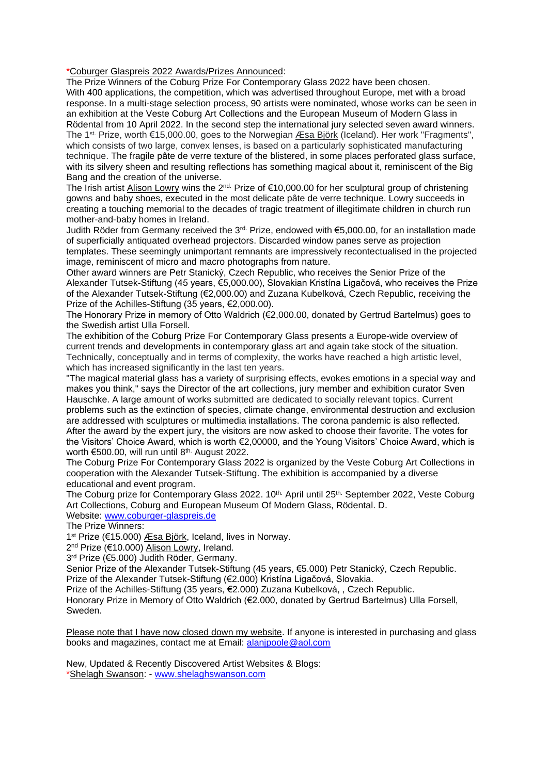#### \*Coburger Glaspreis 2022 Awards/Prizes Announced:

The Prize Winners of the Coburg Prize For Contemporary Glass 2022 have been chosen. With 400 applications, the competition, which was advertised throughout Europe, met with a broad response. In a multi-stage selection process, 90 artists were nominated, whose works can be seen in an exhibition at the Veste Coburg Art Collections and the European Museum of Modern Glass in Rödental from 10 April 2022. In the second step the international jury selected seven award winners. The 1<sup>st.</sup> Prize, worth €15,000.00, goes to the Norwegian <u>Æsa Björk</u> (Iceland). Her work "Fragments", which consists of two large, convex lenses, is based on a particularly sophisticated manufacturing technique. The fragile pâte de verre texture of the blistered, in some places perforated glass surface, with its silvery sheen and resulting reflections has something magical about it, reminiscent of the Big Bang and the creation of the universe.

The Irish artist **Alison Lowry** wins the 2<sup>nd.</sup> Prize of  $\epsilon$ 10,000.00 for her sculptural group of christening gowns and baby shoes, executed in the most delicate pâte de verre technique. Lowry succeeds in creating a touching memorial to the decades of tragic treatment of illegitimate children in church run mother-and-baby homes in Ireland.

Judith Röder from Germany received the 3<sup>rd.</sup> Prize, endowed with €5,000.00, for an installation made of superficially antiquated overhead projectors. Discarded window panes serve as projection templates. These seemingly unimportant remnants are impressively recontectualised in the projected image, reminiscent of micro and macro photographs from nature.

Other award winners are Petr Stanický, Czech Republic, who receives the Senior Prize of the Alexander Tutsek-Stiftung (45 years, €5,000.00), Slovakian Kristína Ligačová, who receives the Prize of the Alexander Tutsek-Stiftung (€2,000.00) and Zuzana Kubelková, Czech Republic, receiving the Prize of the Achilles-Stiftung (35 years, €2,000.00).

The Honorary Prize in memory of Otto Waldrich (€2,000.00, donated by Gertrud Bartelmus) goes to the Swedish artist Ulla Forsell.

The exhibition of the Coburg Prize For Contemporary Glass presents a Europe-wide overview of current trends and developments in contemporary glass art and again take stock of the situation. Technically, conceptually and in terms of complexity, the works have reached a high artistic level, which has increased significantly in the last ten years.

"The magical material glass has a variety of surprising effects, evokes emotions in a special way and makes you think," says the Director of the art collections, jury member and exhibition curator Sven Hauschke. A large amount of works submitted are dedicated to socially relevant topics. Current problems such as the extinction of species, climate change, environmental destruction and exclusion are addressed with sculptures or multimedia installations. The corona pandemic is also reflected. After the award by the expert jury, the visitors are now asked to choose their favorite. The votes for the Visitors' Choice Award, which is worth €2,00000, and the Young Visitors' Choice Award, which is worth €500.00, will run until 8<sup>th.</sup> August 2022.

The Coburg Prize For Contemporary Glass 2022 is organized by the Veste Coburg Art Collections in cooperation with the Alexander Tutsek-Stiftung. The exhibition is accompanied by a diverse educational and event program.

The Coburg prize for Contemporary Glass 2022. 10<sup>th.</sup> April until 25<sup>th.</sup> September 2022, Veste Coburg Art Collections, Coburg and European Museum Of Modern Glass, Rödental. D.

Website: [www.coburger-glaspreis.de](http://www.coburger-glaspreis.de/)

The Prize Winners:

1<sup>st</sup> Prize (€15.000) *Æsa Björk*, Iceland, lives in Norway.

2<sup>nd</sup> Prize (€10.000) Alison Lowry, Ireland.

3 rd Prize (€5.000) Judith Röder, Germany.

Senior Prize of the Alexander Tutsek-Stiftung (45 years, €5.000) Petr Stanický, Czech Republic. Prize of the Alexander Tutsek-Stiftung (€2.000) Kristína Ligačová, Slovakia.

Prize of the Achilles-Stiftung (35 years, €2.000) Zuzana Kubelková, , Czech Republic.

Honorary Prize in Memory of Otto Waldrich (€2.000, donated by Gertrud Bartelmus) Ulla Forsell, Sweden.

Please note that I have now closed down my website. If anyone is interested in purchasing and glass books and magazines, contact me at Email: [alanjpoole@aol.com](mailto:alanjpoole@aol.com)

New, Updated & Recently Discovered Artist Websites & Blogs: \*Shelagh Swanson: - [www.shelaghswanson.com](http://www.shelaghswanson.com/)